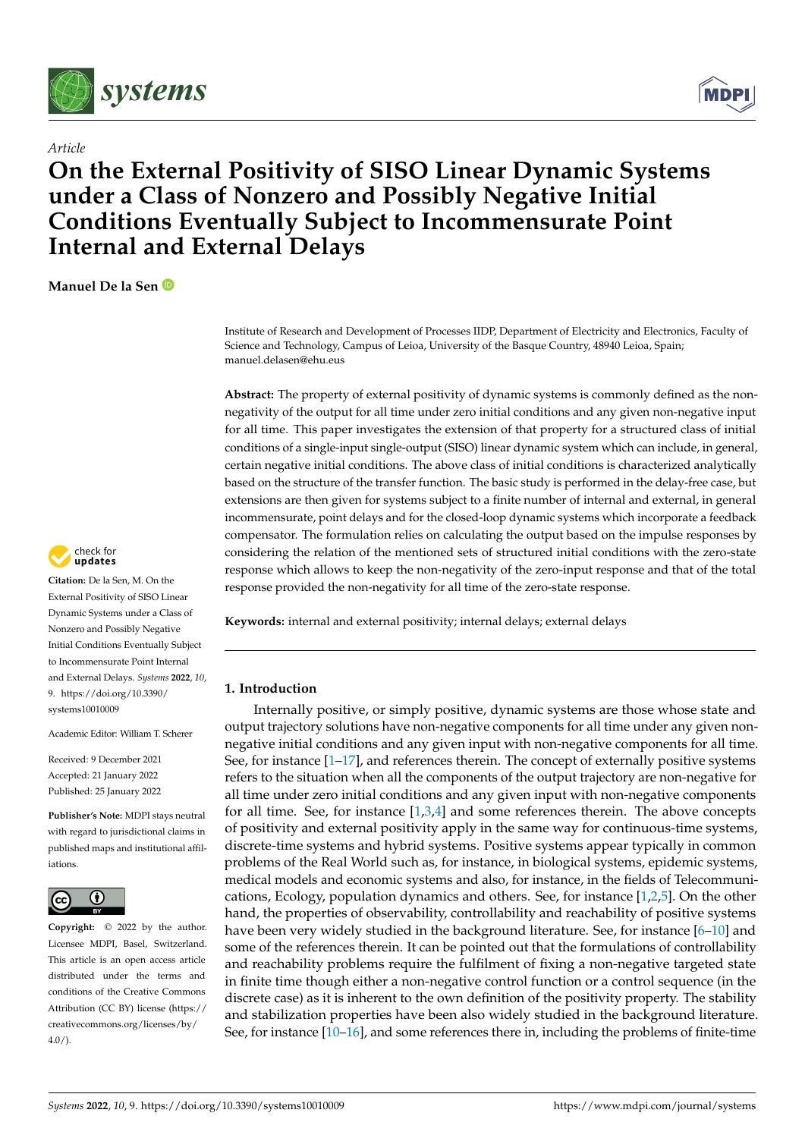

*Article*



# **On the External Positivity of SISO Linear Dynamic Systems under a Class of Nonzero and Possibly Negative Initial Conditions Eventually Subject to Incommensurate Point Internal and External Delays**

**Manuel De la Sen**

check for updates

**Citation:** De la Sen, M. On the External Positivity of SISO Linear Dynamic Systems under a Class of Nonzero and Possibly Negative Initial Conditions Eventually Subject to Incommensurate Point Internal and External Delays. *Systems* **2022**, *10*, 9. [https://doi.org/10.3390/](https://doi.org/10.3390/systems10010009) [systems10010009](https://doi.org/10.3390/systems10010009)

Academic Editor: William T. Scherer

Received: 9 December 2021 Accepted: 21 January 2022 Published: 25 January 2022

**Publisher's Note:** MDPI stays neutral with regard to jurisdictional claims in published maps and institutional affiliations.



**Copyright:** © 2022 by the author. Licensee MDPI, Basel, Switzerland. This article is an open access article distributed under the terms and conditions of the Creative Commons Attribution (CC BY) license [\(https://](https://creativecommons.org/licenses/by/4.0/) [creativecommons.org/licenses/by/](https://creativecommons.org/licenses/by/4.0/)  $4.0/$ ).

Institute of Research and Development of Processes IIDP, Department of Electricity and Electronics, Faculty of Science and Technology, Campus of Leioa, University of the Basque Country, 48940 Leioa, Spain; manuel.delasen@ehu.eus

**Abstract:** The property of external positivity of dynamic systems is commonly defined as the nonnegativity of the output for all time under zero initial conditions and any given non-negative input for all time. This paper investigates the extension of that property for a structured class of initial conditions of a single-input single-output (SISO) linear dynamic system which can include, in general, certain negative initial conditions. The above class of initial conditions is characterized analytically based on the structure of the transfer function. The basic study is performed in the delay-free case, but extensions are then given for systems subject to a finite number of internal and external, in general incommensurate, point delays and for the closed-loop dynamic systems which incorporate a feedback compensator. The formulation relies on calculating the output based on the impulse responses by considering the relation of the mentioned sets of structured initial conditions with the zero-state response which allows to keep the non-negativity of the zero-input response and that of the total response provided the non-negativity for all time of the zero-state response.

**Keywords:** internal and external positivity; internal delays; external delays

## **1. Introduction**

Internally positive, or simply positive, dynamic systems are those whose state and output trajectory solutions have non-negative components for all time under any given nonnegative initial conditions and any given input with non-negative components for all time. See, for instance  $[1-17]$  $[1-17]$ , and references therein. The concept of externally positive systems refers to the situation when all the components of the output trajectory are non-negative for all time under zero initial conditions and any given input with non-negative components for all time. See, for instance  $[1,3,4]$  $[1,3,4]$  $[1,3,4]$  and some references therein. The above concepts of positivity and external positivity apply in the same way for continuous-time systems, discrete-time systems and hybrid systems. Positive systems appear typically in common problems of the Real World such as, for instance, in biological systems, epidemic systems, medical models and economic systems and also, for instance, in the fields of Telecommunications, Ecology, population dynamics and others. See, for instance [\[1,](#page-16-0)[2,](#page-16-3)[5\]](#page-16-4). On the other hand, the properties of observability, controllability and reachability of positive systems have been very widely studied in the background literature. See, for instance [\[6](#page-17-1)-10] and some of the references therein. It can be pointed out that the formulations of controllability and reachability problems require the fulfilment of fixing a non-negative targeted state in finite time though either a non-negative control function or a control sequence (in the discrete case) as it is inherent to the own definition of the positivity property. The stability and stabilization properties have been also widely studied in the background literature. See, for instance [\[10](#page-17-2)[–16\]](#page-17-3), and some references there in, including the problems of finite-time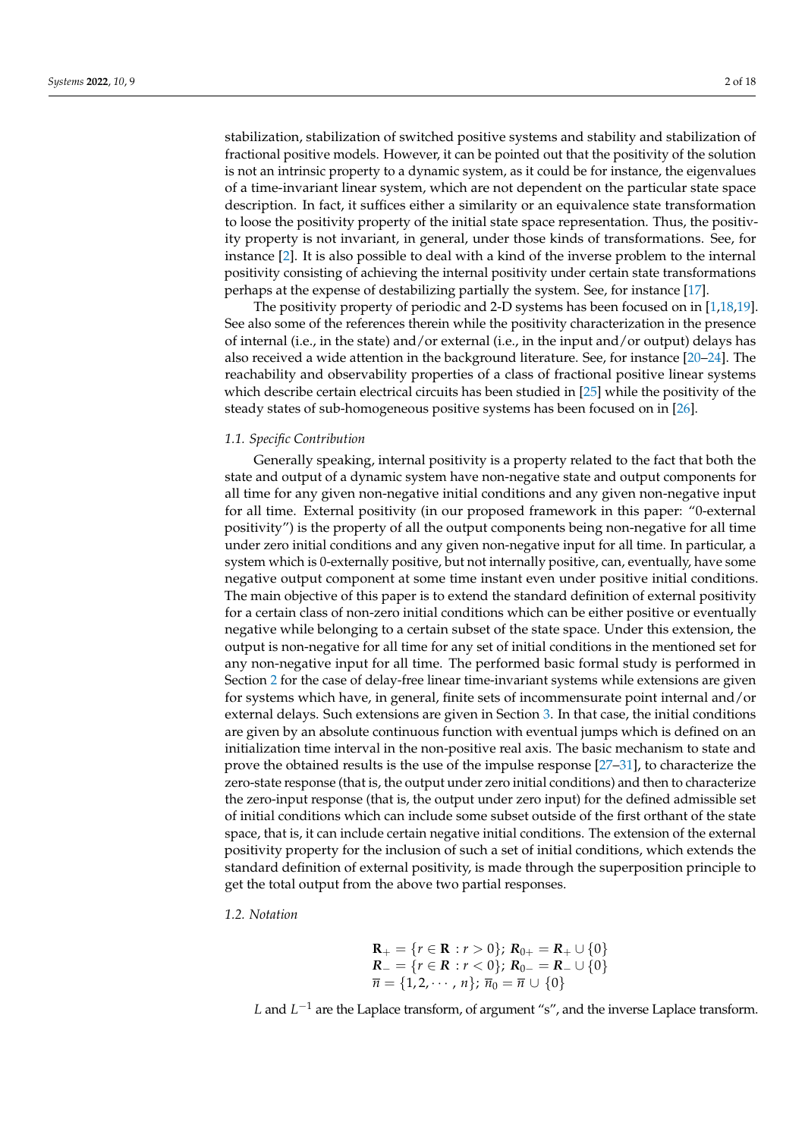stabilization, stabilization of switched positive systems and stability and stabilization of fractional positive models. However, it can be pointed out that the positivity of the solution is not an intrinsic property to a dynamic system, as it could be for instance, the eigenvalues of a time-invariant linear system, which are not dependent on the particular state space description. In fact, it suffices either a similarity or an equivalence state transformation to loose the positivity property of the initial state space representation. Thus, the positivity property is not invariant, in general, under those kinds of transformations. See, for instance [\[2\]](#page-16-3). It is also possible to deal with a kind of the inverse problem to the internal positivity consisting of achieving the internal positivity under certain state transformations perhaps at the expense of destabilizing partially the system. See, for instance [\[17\]](#page-17-0).

The positivity property of periodic and 2-D systems has been focused on in [\[1](#page-16-0)[,18,](#page-17-4)[19\]](#page-17-5). See also some of the references therein while the positivity characterization in the presence of internal (i.e., in the state) and/or external (i.e., in the input and/or output) delays has also received a wide attention in the background literature. See, for instance [\[20–](#page-17-6)[24\]](#page-17-7). The reachability and observability properties of a class of fractional positive linear systems which describe certain electrical circuits has been studied in [\[25\]](#page-17-8) while the positivity of the steady states of sub-homogeneous positive systems has been focused on in [\[26\]](#page-17-9).

#### *1.1. Specific Contribution*

Generally speaking, internal positivity is a property related to the fact that both the state and output of a dynamic system have non-negative state and output components for all time for any given non-negative initial conditions and any given non-negative input for all time. External positivity (in our proposed framework in this paper: "0-external positivity") is the property of all the output components being non-negative for all time under zero initial conditions and any given non-negative input for all time. In particular, a system which is 0-externally positive, but not internally positive, can, eventually, have some negative output component at some time instant even under positive initial conditions. The main objective of this paper is to extend the standard definition of external positivity for a certain class of non-zero initial conditions which can be either positive or eventually negative while belonging to a certain subset of the state space. Under this extension, the output is non-negative for all time for any set of initial conditions in the mentioned set for any non-negative input for all time. The performed basic formal study is performed in Section [2](#page-2-0) for the case of delay-free linear time-invariant systems while extensions are given for systems which have, in general, finite sets of incommensurate point internal and/or external delays. Such extensions are given in Section [3.](#page-16-5) In that case, the initial conditions are given by an absolute continuous function with eventual jumps which is defined on an initialization time interval in the non-positive real axis. The basic mechanism to state and prove the obtained results is the use of the impulse response [\[27](#page-17-10)[–31\]](#page-17-11), to characterize the zero-state response (that is, the output under zero initial conditions) and then to characterize the zero-input response (that is, the output under zero input) for the defined admissible set of initial conditions which can include some subset outside of the first orthant of the state space, that is, it can include certain negative initial conditions. The extension of the external positivity property for the inclusion of such a set of initial conditions, which extends the standard definition of external positivity, is made through the superposition principle to get the total output from the above two partial responses.

*1.2. Notation*

$$
\mathbf{R}_{+} = \{r \in \mathbf{R} : r > 0\}; \ \mathbf{R}_{0+} = \mathbf{R}_{+} \cup \{0\}
$$
\n
$$
\mathbf{R}_{-} = \{r \in \mathbf{R} : r < 0\}; \ \mathbf{R}_{0-} = \mathbf{R}_{-} \cup \{0\}
$$
\n
$$
\overline{n} = \{1, 2, \cdots, n\}; \ \overline{n}_{0} = \overline{n} \cup \{0\}
$$

*L* and *L*<sup>-1</sup> are the Laplace transform, of argument "s", and the inverse Laplace transform.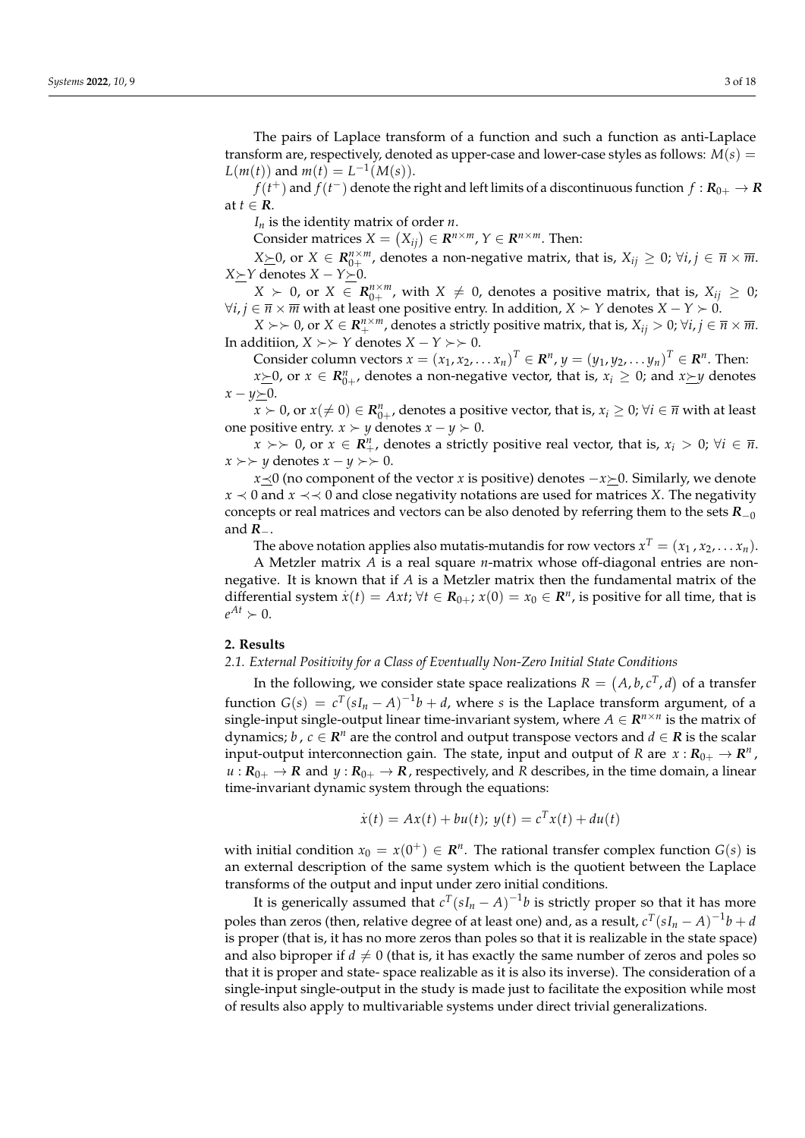The pairs of Laplace transform of a function and such a function as anti-Laplace transform are, respectively, denoted as upper-case and lower-case styles as follows:  $M(s)$  =  $L(m(t))$  and  $m(t) = L^{-1}(M(s)).$ 

 $f(t^+)$  and  $f(t^-)$  denote the right and left limits of a discontinuous function  $f: \mathbf{R}_{0+} \to \mathbf{R}$ at  $t \in \mathbb{R}$ .

*I<sup>n</sup>* is the identity matrix of order *n*.

Consider matrices  $X = (X_{ij}) \in \mathbb{R}^{n \times m}$ ,  $Y \in \mathbb{R}^{n \times m}$ . Then:

*X*≥0, or *X* ∈  $\mathbb{R}_{0+}^{n \times m}$ , denotes a non-negative matrix, that is,  $X_{ij}$  ≥ 0;  $\forall i, j \in \overline{n} \times \overline{m}$ . *X≻Y* denotes *X* − *Y≻*0.

 $X \succ 0$ , or  $X \in \mathbb{R}_{0+}^{n \times m}$ , with  $X \neq 0$ , denotes a positive matrix, that is,  $X_{ij} \geq 0$ ;  $∀i, j ∈ \overline{n} × \overline{m}$  with at least one positive entry. In addition, *X* ≻ *Y* denotes *X* − *Y* ≻ 0.

 $X \succ \succ 0$ , or  $X \in \mathbb{R}_+^{n \times m}$ , denotes a strictly positive matrix, that is,  $X_{ij} > 0$ ;  $\forall i, j \in \overline{n} \times \overline{m}$ . In additiion, *X* ≻ *≻ Y* denotes *X* − *Y* ≻ *≻* 0.

Consider column vectors  $x = (x_1, x_2, \ldots, x_n)^T \in \mathbb{R}^n$ ,  $y = (y_1, y_2, \ldots, y_n)^T \in \mathbb{R}^n$ . Then: *x* $\ge$ *0*, or *x* ∈  $R_{0+}^n$ , denotes a non-negative vector, that is, *xi* ≥ 0; and *x* $\succeq$ *y* denotes

 $x - y \geq 0$ .

 $x \succ 0$ , or  $x (\neq 0) \in \mathbb{R}_{0+}^n$ , denotes a positive vector, that is,  $x_i \geq 0$ ;  $\forall i \in \overline{n}$  with at least one positive entry. *x* ≻ *y* denotes *x* − *y* ≻ 0.

*x* ≻  $>$  0, or *x* ∈  $\mathbb{R}^n_+$ , denotes a strictly positive real vector, that is, *x*<sup>*i*</sup> > 0;  $\forall i$  ∈  $\overline{n}$ . *x* ≻ *y* denotes *x* − *y* ≻  $>$  0.

*x*  $\le$  0 (no component of the vector *x* is positive) denotes  $-x\succeq$  0. Similarly, we denote *x*  $\prec$  0 and *x*  $\prec$   $\prec$  0 and close negativity notations are used for matrices *X*. The negativity concepts or real matrices and vectors can be also denoted by referring them to the sets  $R_{-0}$ and *R*−.

The above notation applies also mutatis-mutandis for row vectors  $x^T = (x_1, x_2, \ldots, x_n)$ .

A Metzler matrix *A* is a real square *n*-matrix whose off-diagonal entries are nonnegative. It is known that if *A* is a Metzler matrix then the fundamental matrix of the differential system  $\dot{x}(t) = Axt$ ;  $\forall t \in \mathbf{R}_{0+}$ ;  $x(0) = x_0 \in \mathbf{R}^n$ , is positive for all time, that is  $e^{At} \succ 0.$ 

#### <span id="page-2-0"></span>**2. Results**

*2.1. External Positivity for a Class of Eventually Non-Zero Initial State Conditions*

In the following, we consider state space realizations  $R = (A, b, c^T, d)$  of a transfer function  $G(s) = c^T(sI_n - A)^{-1}b + d$ , where *s* is the Laplace transform argument, of a single-input single-output linear time-invariant system, where  $A \in \mathbb{R}^{n \times n}$  is the matrix of dynamics; *b*,  $c \in \mathbb{R}^n$  are the control and output transpose vectors and  $d \in \mathbb{R}$  is the scalar input-output interconnection gain. The state, input and output of *R* are  $x: \mathbf{R}_{0+} \to \mathbf{R}^n$ ,  $u: R_{0+} \to R$  and  $y: R_{0+} \to R$ , respectively, and *R* describes, in the time domain, a linear time-invariant dynamic system through the equations:

$$
\dot{x}(t) = Ax(t) + bu(t); \ y(t) = c^{T}x(t) + du(t)
$$

with initial condition  $x_0 = x(0^+) \in \mathbb{R}^n$ . The rational transfer complex function  $G(s)$  is an external description of the same system which is the quotient between the Laplace transforms of the output and input under zero initial conditions.

It is generically assumed that  $c^T(sI_n - A)^{-1}b$  is strictly proper so that it has more poles than zeros (then, relative degree of at least one) and, as a result,  $c^T(sI_n - A)^{-1}b + d$ is proper (that is, it has no more zeros than poles so that it is realizable in the state space) and also biproper if  $d \neq 0$  (that is, it has exactly the same number of zeros and poles so that it is proper and state- space realizable as it is also its inverse). The consideration of a single-input single-output in the study is made just to facilitate the exposition while most of results also apply to multivariable systems under direct trivial generalizations.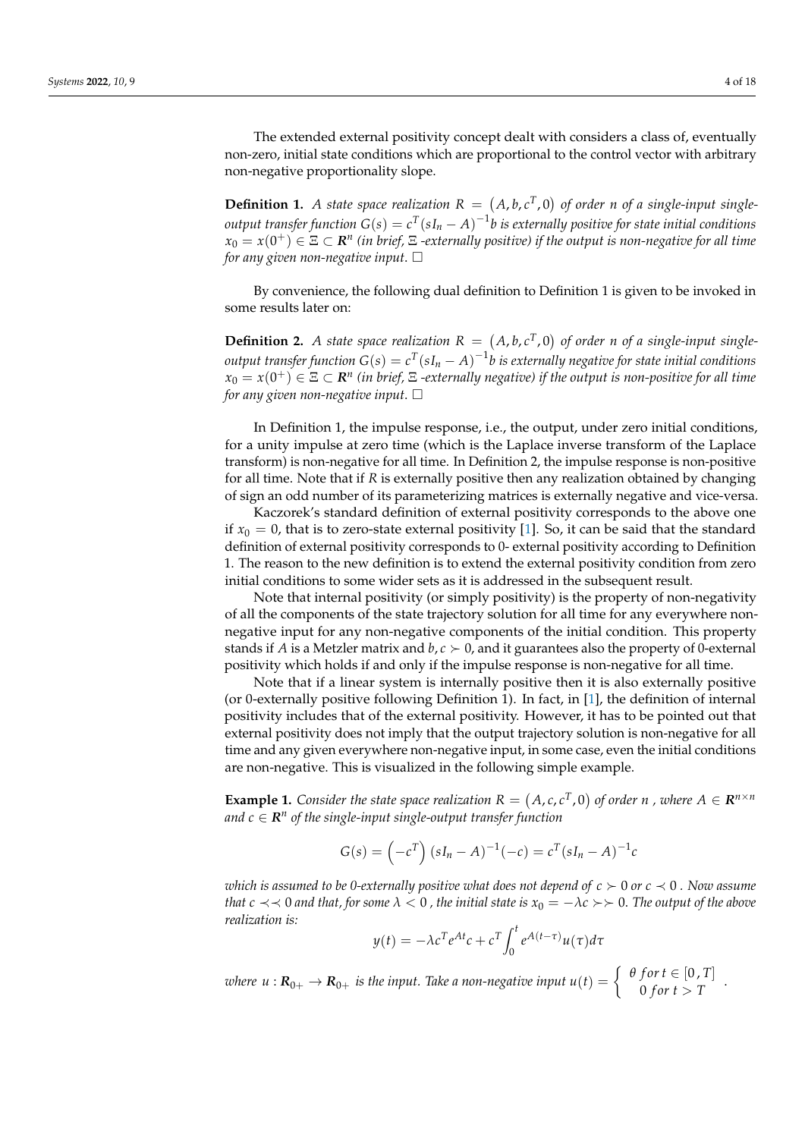The extended external positivity concept dealt with considers a class of, eventually non-zero, initial state conditions which are proportional to the control vector with arbitrary non-negative proportionality slope.

**Definition 1.** A state space realization  $R = (A, b, c^T, 0)$  of order *n* of a single-input single*output transfer function*  $G(s) = c^T(sI_n - A)^{-1}b$  *is externally positive for state initial conditions*  $x_0 = x(0^+) \in \Xi \subset \mathbf{R}^n$  (in brief,  $\Xi$  -externally positive) if the output is non-negative for all time *for any given non-negative input*.

By convenience, the following dual definition to Definition 1 is given to be invoked in some results later on:

**Definition 2.** A state space realization  $R = (A, b, c^T, 0)$  of order *n* of a single-input single*output transfer function*  $G(s) = c^T(sI_n - A)^{-1}b$  *is externally negative for state initial conditions*  $x_0 = x(0^+) \in \Xi \subset \mathbf{R}^n$  (in brief,  $\Xi$  -externally negative) if the output is non-positive for all time *for any given non-negative input*.

In Definition 1, the impulse response, i.e., the output, under zero initial conditions, for a unity impulse at zero time (which is the Laplace inverse transform of the Laplace transform) is non-negative for all time. In Definition 2, the impulse response is non-positive for all time. Note that if *R* is externally positive then any realization obtained by changing of sign an odd number of its parameterizing matrices is externally negative and vice-versa.

Kaczorek's standard definition of external positivity corresponds to the above one if  $x_0 = 0$ , that is to zero-state external positivity [\[1\]](#page-16-0). So, it can be said that the standard definition of external positivity corresponds to 0- external positivity according to Definition 1. The reason to the new definition is to extend the external positivity condition from zero initial conditions to some wider sets as it is addressed in the subsequent result.

Note that internal positivity (or simply positivity) is the property of non-negativity of all the components of the state trajectory solution for all time for any everywhere nonnegative input for any non-negative components of the initial condition. This property stands if *A* is a Metzler matrix and  $b, c \succ 0$ , and it guarantees also the property of 0-external positivity which holds if and only if the impulse response is non-negative for all time.

Note that if a linear system is internally positive then it is also externally positive (or 0-externally positive following Definition 1). In fact, in [\[1\]](#page-16-0), the definition of internal positivity includes that of the external positivity. However, it has to be pointed out that external positivity does not imply that the output trajectory solution is non-negative for all time and any given everywhere non-negative input, in some case, even the initial conditions are non-negative. This is visualized in the following simple example.

**Example 1.** Consider the state space realization  $R = (A, c, c^T, 0)$  of order *n*, where  $A \in \mathbb{R}^{n \times n}$  $a$ nd  $c \in \mathbf{R}^n$  of the single-input single-output transfer function

$$
G(s) = \left(-c^T\right) (sI_n - A)^{-1} (-c) = c^T (sI_n - A)^{-1} c
$$

*which is assumed to be 0-externally positive what does not depend of*  $c \succ 0$  *or*  $c \prec 0$ . Now assume *that*  $c \prec 0$  *and that, for some*  $\lambda < 0$ *, the initial state is*  $x_0 = -\lambda c > 0$ *. The output of the above realization is:*

$$
y(t) = -\lambda c^T e^{At} c + c^T \int_0^t e^{A(t-\tau)} u(\tau) d\tau
$$

*where*  $u: \mathbf{R}_{0+} \to \mathbf{R}_{0+}$  *is the input. Take a non-negative input*  $u(t) = \left\{ \begin{array}{c} \theta \text{ for } t \in [0,T] \ 0 \text{ for } t > T \end{array} \right\}$  $0$  *for*  $t > T$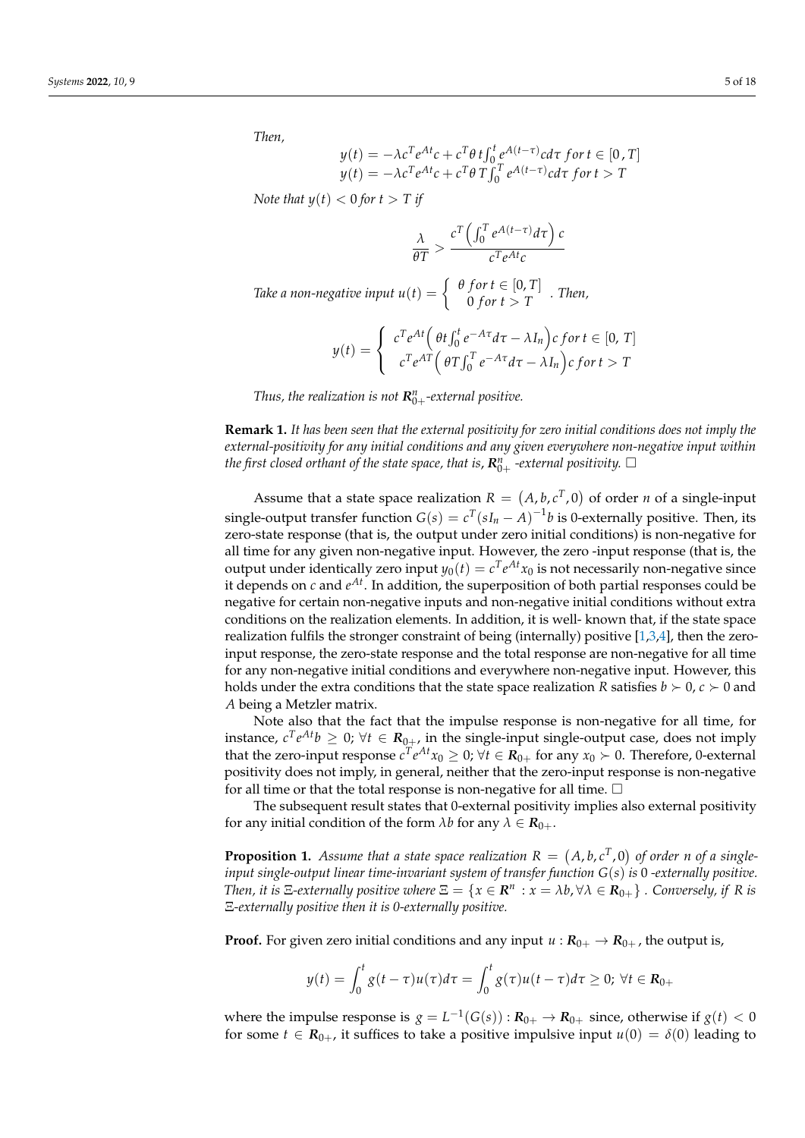*Then,*

$$
y(t) = -\lambda c^T e^{At} c + c^T \theta t \int_0^t e^{A(t-\tau)} c d\tau \text{ for } t \in [0, T]
$$
  

$$
y(t) = -\lambda c^T e^{At} c + c^T \theta T \int_0^T e^{A(t-\tau)} c d\tau \text{ for } t > T
$$

*Note that*  $y(t) < 0$  *for*  $t > T$  *if* 

$$
\frac{\lambda}{\theta T} > \frac{c^T \left( \int_0^T e^{A(t-\tau)} d\tau \right) c}{c^T e^{At} c}
$$

*Take a non-negative input*  $u(t) = \begin{cases} \theta \text{ for } t \in [0, T] \\ 0 \text{ for } t > T \end{cases}$  $0$  *for*  $t > T$  . Then,

$$
y(t) = \begin{cases} c^T e^{At} \left( \theta t \int_0^t e^{-A\tau} d\tau - \lambda I_n \right) c \text{ for } t \in [0, T] \\ c^T e^{AT} \left( \theta T \int_0^T e^{-A\tau} d\tau - \lambda I_n \right) c \text{ for } t > T \end{cases}
$$

*Thus, the realization is not*  $R_{0+}^n$ -external positive.

**Remark 1.** *It has been seen that the external positivity for zero initial conditions does not imply the external-positivity for any initial conditions and any given everywhere non-negative input within the first closed orthant of the state space, that is,*  $R_{0+}^n$  *-external positivity.*  $\Box$ 

Assume that a state space realization  $R = (A, b, c^T, 0)$  of order *n* of a single-input single-output transfer function  $G(s) = c^T(sI_n - A)^{-1}b$  is 0-externally positive. Then, its zero-state response (that is, the output under zero initial conditions) is non-negative for all time for any given non-negative input. However, the zero -input response (that is, the output under identically zero input  $y_0(t) = c^T e^{At} x_0$  is not necessarily non-negative since it depends on  $c$  and  $e^{At}$ . In addition, the superposition of both partial responses could be negative for certain non-negative inputs and non-negative initial conditions without extra conditions on the realization elements. In addition, it is well- known that, if the state space realization fulfils the stronger constraint of being (internally) positive [\[1](#page-16-0)[,3,](#page-16-1)[4\]](#page-16-2), then the zeroinput response, the zero-state response and the total response are non-negative for all time for any non-negative initial conditions and everywhere non-negative input. However, this holds under the extra conditions that the state space realization *R* satisfies  $b \succ 0$ ,  $c \succ 0$  and *A* being a Metzler matrix.

Note also that the fact that the impulse response is non-negative for all time, for instance,  $c^T e^{At} b \geq 0$ ;  $\forall t \in \mathbf{R}_{0+}$ , in the single-input single-output case, does not imply that the zero-input response  $c^T e^{At} x_0 \geq 0$ ;  $\forall t \in \mathcal{R}_{0+}$  for any  $x_0 \succ 0$ . Therefore, 0-external positivity does not imply, in general, neither that the zero-input response is non-negative for all time or that the total response is non-negative for all time.  $\Box$ 

The subsequent result states that 0-external positivity implies also external positivity for any initial condition of the form  $\lambda b$  for any  $\lambda \in \mathbf{R}_{0+}$ .

**Proposition 1.** Assume that a state space realization  $R = (A, b, c^T, 0)$  of order n of a single*input single-output linear time-invariant system of transfer function G*(*s*) *is* 0 *-externally positive. Then, it is*  $\Xi$ -externally positive where  $\Xi = \{x \in \mathbb{R}^n : x = \lambda b, \forall \lambda \in \mathbb{R}_{0+}\}\$ . Conversely, if R is Ξ*-externally positive then it is 0-externally positive.*

**Proof.** For given zero initial conditions and any input  $u : R_{0+} \to R_{0+}$ , the output is,

$$
y(t) = \int_0^t g(t-\tau)u(\tau)d\tau = \int_0^t g(\tau)u(t-\tau)d\tau \ge 0; \ \forall t \in \mathbf{R}_{0+}
$$

where the impulse response is  $g = L^{-1}(G(s)) : \mathbf{R}_{0+} \to \mathbf{R}_{0+}$  since, otherwise if  $g(t) < 0$ for some  $t \in \mathbf{R}_{0+}$ , it suffices to take a positive impulsive input  $u(0) = \delta(0)$  leading to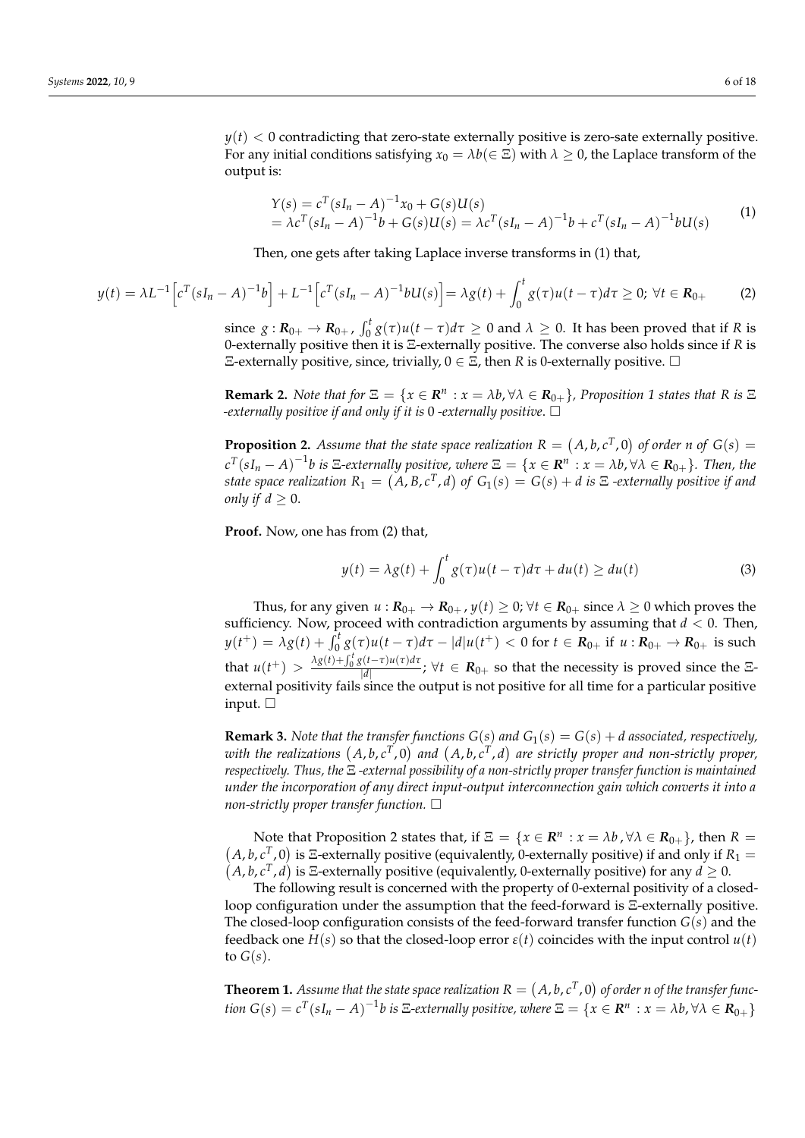$y(t)$  < 0 contradicting that zero-state externally positive is zero-sate externally positive. For any initial conditions satisfying  $x_0 = \lambda b (\in \Xi)$  with  $\lambda \geq 0$ , the Laplace transform of the output is:

$$
Y(s) = c^{T}(sI_{n} - A)^{-1}x_{0} + G(s)U(s)
$$
  
=  $\lambda c^{T}(sI_{n} - A)^{-1}b + G(s)U(s) = \lambda c^{T}(sI_{n} - A)^{-1}b + c^{T}(sI_{n} - A)^{-1}bU(s)$  (1)

Then, one gets after taking Laplace inverse transforms in (1) that,

$$
y(t) = \lambda L^{-1} \Big[ c^T (sI_n - A)^{-1} b \Big] + L^{-1} \Big[ c^T (sI_n - A)^{-1} bU(s) \Big] = \lambda g(t) + \int_0^t g(\tau) u(t - \tau) d\tau \ge 0; \ \forall t \in R_{0+}
$$
 (2)

since  $g: R_{0+} \to R_{0+}$ ,  $\int_0^t g(\tau)u(t-\tau)d\tau \geq 0$  and  $\lambda \geq 0$ . It has been proved that if *R* is 0-externally positive then it is Ξ-externally positive. The converse also holds since if *R* is Ξ-externally positive, since, trivially, 0 ∈ Ξ, then *R* is 0-externally positive.

**Remark 2.** *Note that for*  $\Xi = \{x \in \mathbb{R}^n : x = \lambda b, \forall \lambda \in \mathbb{R}_{0+}\}$ *, Proposition 1 states that* R *is*  $\Xi$ *-externally positive if and only if it is* 0 *-externally positive*.

**Proposition 2.** Assume that the state space realization  $R = (A, b, c^T, 0)$  of order *n* of  $G(s)$  =  $c^T(sI_n - A)^{-1}b$  is  $\Xi$ -externally positive, where  $\Xi = \{x \in \mathbb{R}^n : x = \lambda b, \forall \lambda \in \mathbb{R}_{0+}\}.$  Then, the state space realization  $R_1 = (A, B, c^T, d)$  of  $G_1(s) = G(s) + d$  is  $\Xi$  -externally positive if and *only if*  $d \geq 0$ .

**Proof.** Now, one has from (2) that,

$$
y(t) = \lambda g(t) + \int_0^t g(\tau)u(t-\tau)d\tau + du(t) \ge du(t)
$$
\n(3)

Thus, for any given  $u : \mathbf{R}_{0+} \to \mathbf{R}_{0+}$ ,  $y(t) \geq 0$ ;  $\forall t \in \mathbf{R}_{0+}$  since  $\lambda \geq 0$  which proves the sufficiency. Now, proceed with contradiction arguments by assuming that *d* < 0. Then,  $y(t^+) = \lambda g(t) + \int_0^t g(\tau)u(t-\tau)d\tau - |d|u(t^+) < 0$  for  $t \in R_{0+}$  if  $u: R_{0+} \to R_{0+}$  is such that  $u(t^+) > \frac{\lambda g(t) + \int_0^t g(t-\tau)u(\tau)d\tau}{|d|}$  $\frac{d}{|d|}$ ;  $\forall t \in R_{0+}$  so that the necessity is proved since the  $\Xi$ external positivity fails since the output is not positive for all time for a particular positive input.  $\square$ 

**Remark 3.** *Note that the transfer functions*  $G(s)$  *and*  $G_1(s) = G(s) + d$  *associated, respectively,* with the realizations  $(A, b, c^T, 0)$  and  $(A, b, c^T, d)$  are strictly proper and non-strictly proper, *respectively. Thus, the* Ξ *-external possibility of a non-strictly proper transfer function is maintained under the incorporation of any direct input-output interconnection gain which converts it into a non-strictly proper transfer function.*

Note that Proposition 2 states that, if  $\Xi = \{x \in \mathbb{R}^n\}$ Note that Proposition 2 states that, if  $\Xi = \{x \in \mathbb{R}^n : x = \lambda b, \forall \lambda \in \mathbb{R}_{0+}\}$ , then  $R = (A, b, c^T, 0)$  is  $\Xi$ -externally positive (equivalently, 0-externally positive) if and only if  $R_1 = (A, b, c^T, d)$  is  $\Xi$ -externall *A*, *b*, *c*<sup>T</sup>, *d*) is Ξ-externally positive (equivalently, 0-externally positive) for any  $d \ge 0$ .

The following result is concerned with the property of 0-external positivity of a closedloop configuration under the assumption that the feed-forward is Ξ-externally positive. The closed-loop configuration consists of the feed-forward transfer function *G*(*s*) and the feedback one  $H(s)$  so that the closed-loop error  $\varepsilon(t)$  coincides with the input control  $u(t)$ to  $G(s)$ .

**Theorem 1.** Assume that the state space realization  $R = (A, b, c^T, 0)$  of order  $n$  of the transfer function  $G(s)=c^T(sI_n-A)^{-1}b$  is E-externally positive, where  $\Xi=\{x\in{\bf R}^n\,:x=\lambda b, \forall \lambda\in{\bf R}_{0+}\}$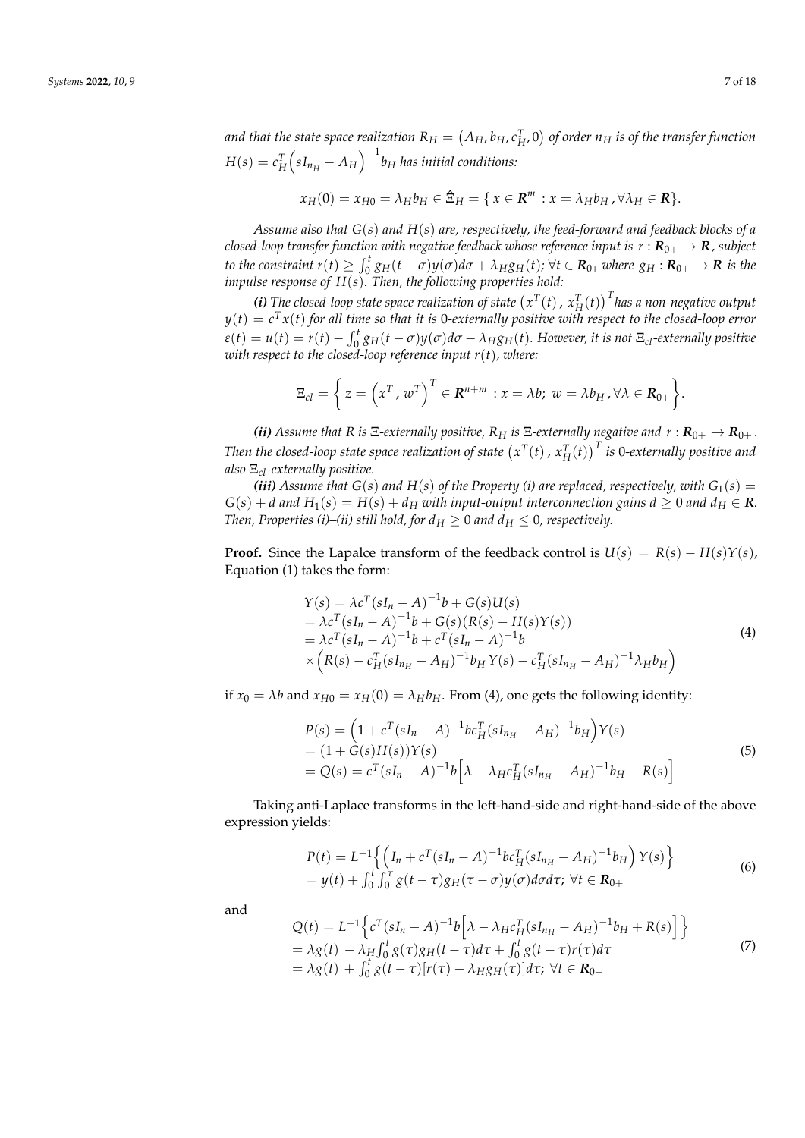and that the state space realization  $R_H = (A_H, b_H, c_H^T, 0)$  of order  $n_H$  is of the transfer function  $H(s) = c_H^T \Big(sI_{n_H} - A_H\Big)^{-1}b_H$  has initial conditions:

$$
x_H(0) = x_{H0} = \lambda_H b_H \in \hat{\Xi}_H = \{ x \in \mathbb{R}^m : x = \lambda_H b_H, \forall \lambda_H \in \mathbb{R} \}.
$$

*Assume also that G*(*s*) *and H*(*s*) *are, respectively, the feed-forward and feedback blocks of a closed-loop transfer function with negative feedback whose reference input is*  $r : \mathbf{R}_{0+} \to \mathbf{R}$ *, subject* to the constraint  $r(t)\geq\int_0^t g_H(t-\sigma)y(\sigma)d\sigma+\lambda_H g_H(t)$ ;  $\forall t\in \mathbf{R}_{0+}$  where  $g_H:\mathbf{R}_{0+}\to\mathbf{R}$  is the *impulse response of H*(*s*)*. Then, the following properties hold:*

*(i)* The closed-loop state space realization of state  $(x^T(t), x_H^T(t))^T$  has a non-negative output *y*(*t*) = *c <sup>T</sup>x*(*t*) *for all time so that it is* 0*-externally positive with respect to the closed-loop error*  $\varepsilon(t) = u(t) = r(t) - \int_0^t g_H(t-\sigma)y(\sigma)d\sigma - \lambda_H g_H(t)$ . However, it is not  $\Xi_{cl}$ -externally positive *with respect to the closed-loop reference input r*(*t*)*, where:*

$$
\Xi_{cl} = \left\{ z = \left( x^T, w^T \right)^T \in \mathbf{R}^{n+m} : x = \lambda b; \ w = \lambda b_H, \forall \lambda \in \mathbf{R}_{0+} \right\}.
$$

*(ii) Assume that R is*  $\Xi$ -externally positive,  $R_H$  *is*  $\Xi$ -externally negative and  $r : R_{0+} \to R_{0+}$ . Then the closed-loop state space realization of state  $\left(x^T(t)\,,\,x_H^T(t)\right)^T$  is 0-externally positive and *also* Ξ*cl-externally positive.*

*(iii)* Assume that  $G(s)$  and  $H(s)$  of the Property (i) are replaced, respectively, with  $G_1(s)$  =  $G(s) + d$  and  $H_1(s) = H(s) + d_H$  with input-output interconnection gains  $d \geq 0$  and  $d_H \in \mathbb{R}$ . *Then, Properties (i)–(ii) still hold, for*  $d<sub>H</sub> \ge 0$  *and*  $d<sub>H</sub> \le 0$ *, respectively.* 

**Proof.** Since the Lapalce transform of the feedback control is  $U(s) = R(s) - H(s)Y(s)$ , Equation (1) takes the form:

$$
\begin{aligned}\nY(s) &= \lambda c^T (sI_n - A)^{-1} b + G(s)U(s) \\
&= \lambda c^T (sI_n - A)^{-1} b + G(s) (R(s) - H(s)Y(s)) \\
&= \lambda c^T (sI_n - A)^{-1} b + c^T (sI_n - A)^{-1} b \\
&\times \left( R(s) - c_H^T (sI_{n_H} - A_H)^{-1} b_H Y(s) - c_H^T (sI_{n_H} - A_H)^{-1} \lambda_H b_H \right)\n\end{aligned}
$$
\n(4)

if  $x_0 = \lambda b$  and  $x_{H0} = x_H(0) = \lambda_H b_H$ . From (4), one gets the following identity:

$$
P(s) = (1 + c^{T}(sI_{n} - A)^{-1}bc_{H}^{T}(sI_{n_{H}} - A_{H})^{-1}b_{H})Y(s)
$$
  
= (1 + G(s)H(s))Y(s)  
= Q(s) = c^{T}(sI\_{n} - A)^{-1}b[\lambda - \lambda\_{H}c\_{H}^{T}(sI\_{n\_{H}} - A\_{H})^{-1}b\_{H} + R(s)] (5)

Taking anti-Laplace transforms in the left-hand-side and right-hand-side of the above expression yields:

$$
P(t) = L^{-1} \left\{ \left( I_n + c^T (sI_n - A)^{-1} b c_H^T (sI_{n_H} - A_H)^{-1} b_H \right) Y(s) \right\}
$$
  
=  $y(t) + \int_0^t \int_0^{\tau} g(t - \tau) g_H(\tau - \sigma) y(\sigma) d\sigma d\tau; \ \forall t \in \mathbf{R}_{0+}$  (6)

and

$$
Q(t) = L^{-1} \Big\{ c^{T} (sI_{n} - A)^{-1} b \Big[ \lambda - \lambda_{H} c_{H}^{T} (sI_{n_{H}} - A_{H})^{-1} b_{H} + R(s) \Big] \Big\} = \lambda g(t) - \lambda_{H} \int_{0}^{t} g(\tau) g_{H}(t - \tau) d\tau + \int_{0}^{t} g(t - \tau) r(\tau) d\tau = \lambda g(t) + \int_{0}^{t} g(t - \tau) [r(\tau) - \lambda_{H} g_{H}(\tau)] d\tau; \ \forall t \in \mathbf{R}_{0+}
$$
\n(7)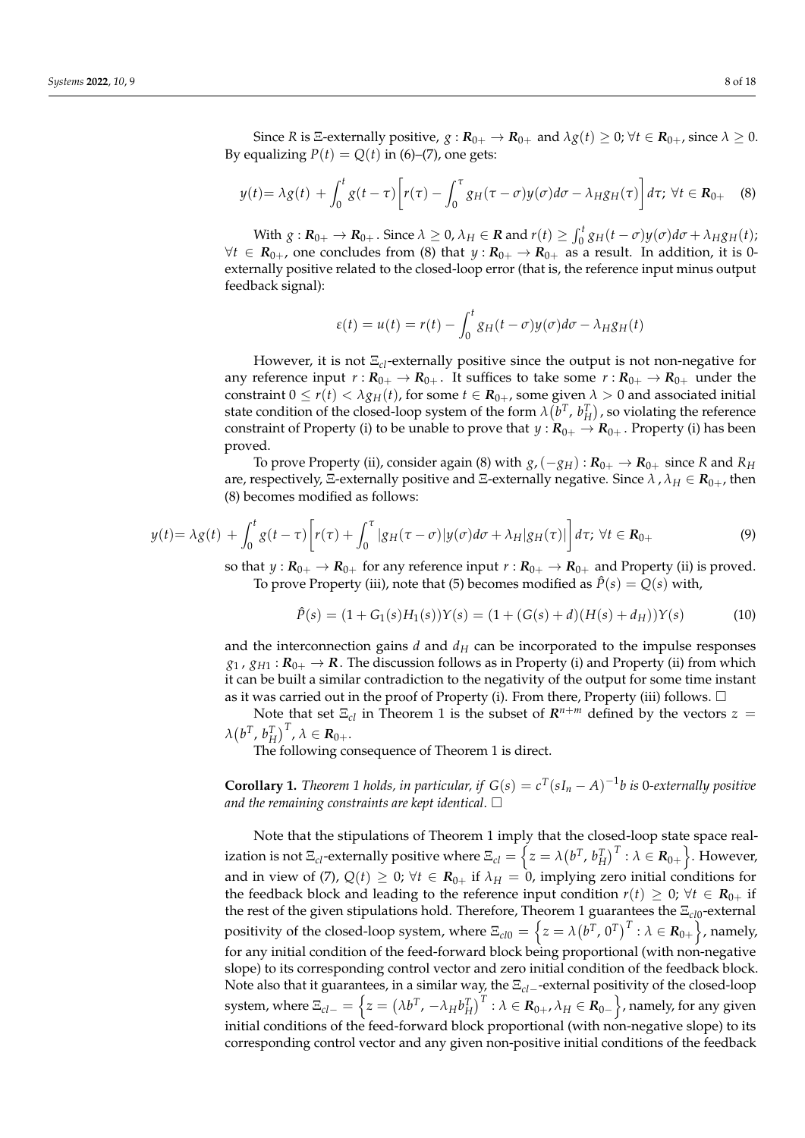Since *R* is  $\Xi$ -externally positive,  $g : \mathbf{R}_{0+} \to \mathbf{R}_{0+}$  and  $\lambda g(t) \geq 0$ ;  $\forall t \in \mathbf{R}_{0+}$ , since  $\lambda \geq 0$ . By equalizing  $P(t) = Q(t)$  in (6)–(7), one gets:

$$
y(t) = \lambda g(t) + \int_0^t g(t-\tau) \left[ r(\tau) - \int_0^{\tau} g_H(\tau-\sigma) y(\sigma) d\sigma - \lambda_H g_H(\tau) \right] d\tau; \ \forall t \in \mathbf{R}_{0+} \quad (8)
$$

With  $g: \mathbf{R}_{0+} \to \mathbf{R}_{0+}$ . Since  $\lambda \geq 0$ ,  $\lambda_H \in \mathbf{R}$  and  $r(t) \geq \int_0^t g_H(t-\sigma)y(\sigma)d\sigma + \lambda_H g_H(t)$ ;  $\forall t \in R_{0+}$ , one concludes from (8) that  $y: R_{0+} \to R_{0+}$  as a result. In addition, it is 0externally positive related to the closed-loop error (that is, the reference input minus output feedback signal):

$$
\varepsilon(t) = u(t) = r(t) - \int_0^t g_H(t - \sigma) y(\sigma) d\sigma - \lambda_H g_H(t)
$$

However, it is not Ξ*cl*-externally positive since the output is not non-negative for any reference input  $r: R_{0+} \to R_{0+}$ . It suffices to take some  $r: R_{0+} \to R_{0+}$  under the constraint  $0 \le r(t) < \lambda g_H(t)$ , for some  $t \in R_{0+}$ , some given  $\lambda > 0$  and associated initial state condition of the closed-loop system of the form  $\lambda(b^T, b_H^T)$ , so violating the reference constraint of Property (i) to be unable to prove that  $y: \mathbf{R}_{0+} \to \mathbf{R}_{0+}$ . Property (i) has been proved.

To prove Property (ii), consider again (8) with  $g$ , ( $-g_H$ ) :  $R_{0+} \to R_{0+}$  since *R* and  $R_H$ are, respectively, Ξ-externally positive and Ξ-externally negative. Since *λ* , *λ<sup>H</sup>* ∈ *R*0+, then (8) becomes modified as follows:

$$
y(t) = \lambda g(t) + \int_0^t g(t-\tau) \left[ r(\tau) + \int_0^{\tau} |g_H(\tau-\sigma)| y(\sigma) d\sigma + \lambda_H |g_H(\tau)| \right] d\tau; \ \forall t \in \mathbf{R}_{0+}
$$
\n
$$
(9)
$$

so that  $y: \mathbb{R}_{0+} \to \mathbb{R}_{0+}$  for any reference input  $r: \mathbb{R}_{0+} \to \mathbb{R}_{0+}$  and Property (ii) is proved. To prove Property (iii), note that (5) becomes modified as  $\hat{P}(s) = Q(s)$  with,

$$
\hat{P}(s) = (1 + G_1(s)H_1(s))Y(s) = (1 + (G(s) + d)(H(s) + d_H))Y(s)
$$
\n(10)

and the interconnection gains  $d$  and  $d$ <sup>H</sup> can be incorporated to the impulse responses  $g_1$ ,  $g_{H1}$ :  $R_{0+}$   $\rightarrow$  *R*. The discussion follows as in Property (i) and Property (ii) from which it can be built a similar contradiction to the negativity of the output for some time instant as it was carried out in the proof of Property (i). From there, Property (iii) follows.  $\Box$ 

Note that set  $\Xi_{cl}$  in Theorem 1 is the subset of  $\mathbb{R}^{n+m}$  defined by the vectors  $z =$  $\lambda\left(b^{T}, b_{H}^{T}\right)^{T}$ ,  $\lambda \in \mathbf{R}_{0+}.$ 

The following consequence of Theorem 1 is direct.

**Corollary 1.** *Theorem 1 holds, in particular, if*  $G(s) = c^T(sI_n - A)^{-1}b$  *is* 0-externally positive *and the remaining constraints are kept identical*.

Note that the stipulations of Theorem 1 imply that the closed-loop state space realization is not  $\Xi_{cl}$ -externally positive where  $\Xi_{cl}=\left\{z=\lambda\big(b^T,\,b_H^T\big)^T:\lambda\in{\bold R}_{0+}\right\}.$  However, and in view of (7),  $Q(t) \geq 0$ ;  $\forall t \in \mathbb{R}_{0+}$  if  $\lambda_H = 0$ , implying zero initial conditions for the feedback block and leading to the reference input condition  $r(t) \geq 0$ ;  $\forall t \in \mathbb{R}_{0+}$  if the rest of the given stipulations hold. Therefore, Theorem 1 guarantees the Ξ<sub>cl0</sub>-external positivity of the closed-loop system, where  $\Xi_{cl0}=\left\{z=\lambda\big(b^T\text{, }0^T\big)^T:\lambda\in\mathbf{R}_{0+}\right\}$ , namely, for any initial condition of the feed-forward block being proportional (with non-negative slope) to its corresponding control vector and zero initial condition of the feedback block. Note also that it guarantees, in a similar way, the Ξ*cl*−-external positivity of the closed-loop  $s$ ystem, where  $\Xi_{cl-}=\left\{z=(\lambda b^T,\,-\lambda_H b_H^T\right)^T: \lambda\in \bm{R}_{0+}, \lambda_H\in \bm{R}_{0-}\right\}$ , namely, for any given initial conditions of the feed-forward block proportional (with non-negative slope) to its corresponding control vector and any given non-positive initial conditions of the feedback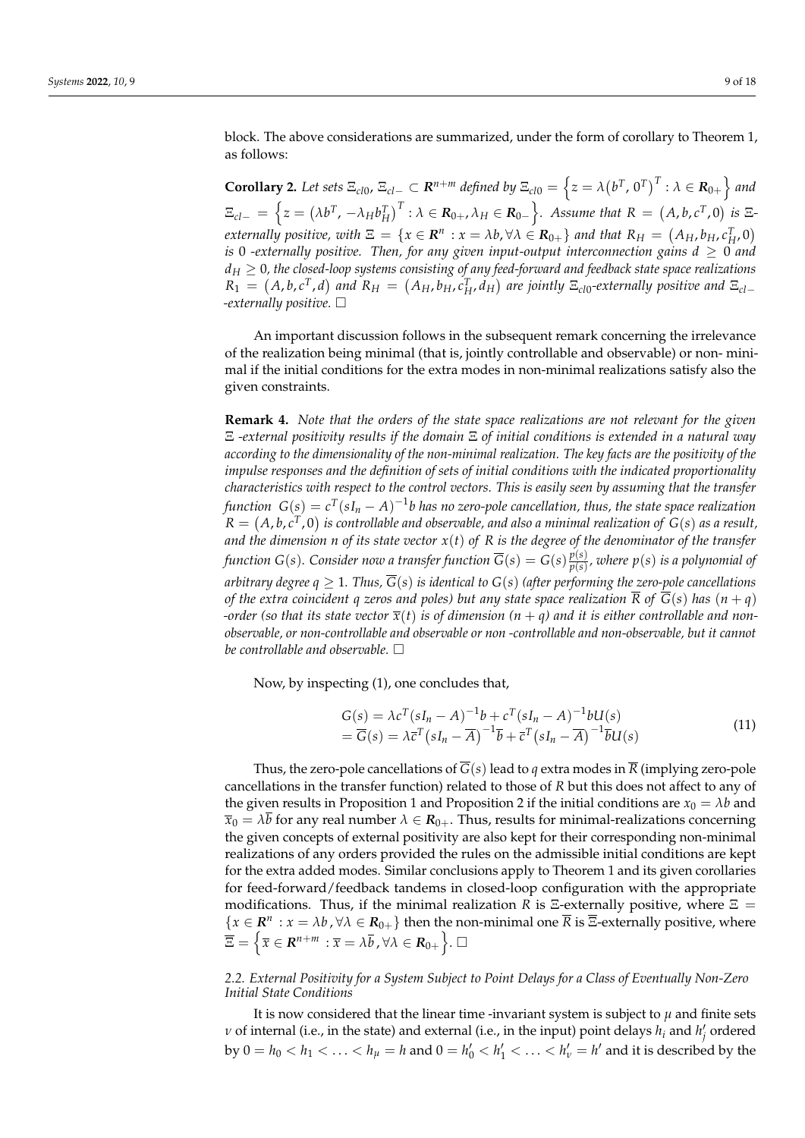block. The above considerations are summarized, under the form of corollary to Theorem 1, as follows:

**Corollary 2.** Let sets  $\Xi_{cl0}$ ,  $\Xi_{cl-}\subset \mathbb{R}^{n+m}$  defined by  $\Xi_{cl0}=\left\{z=\lambda\left(b^T,0^T\right)^T:\lambda\in\mathbb{R}_{0+}\right\}$  and  $\Xi_{cl-} \ = \ \Big\{ z = \left(\lambda b^T\text{, } -\lambda_H b_H^T\right)^T : \lambda \in \mathbf{R}_{0+}\text{, } \lambda_H \in \mathbf{R}_{0-} \Big\} .$  Assume that  $R \ = \ \left(A, b, c^T\text{, } 0\right)$  is  $\Xi$ *externally positive, with*  $\Xi = \{x \in \mathbb{R}^n : x = \lambda b, \forall \lambda \in \mathbb{R}_{0+}\}$  and that  $R_H = (A_H, b_H, c_H^T, 0)$ *is* 0 *-externally positive. Then, for any given input-output interconnection gains*  $d \geq 0$  *and*  $d_H \geq 0$ , the closed-loop systems consisting of any feed-forward and feedback state space realizations  $R_1 = (A,b,c^T,d)$  and  $R_H = (A_H,b_H,c_H^T,d_H)$  are jointly  $\Xi_{c10}$ -externally positive and  $\Xi_{c1-}$ *-externally positive.*

An important discussion follows in the subsequent remark concerning the irrelevance of the realization being minimal (that is, jointly controllable and observable) or non- minimal if the initial conditions for the extra modes in non-minimal realizations satisfy also the given constraints.

**Remark 4.** *Note that the orders of the state space realizations are not relevant for the given* Ξ *-external positivity results if the domain* Ξ *of initial conditions is extended in a natural way according to the dimensionality of the non-minimal realization. The key facts are the positivity of the impulse responses and the definition of sets of initial conditions with the indicated proportionality characteristics with respect to the control vectors. This is easily seen by assuming that the transfer function*  $\ G(s) = c^T(sI_n - A)^{-1}b$  *has no zero-pole cancellation, thus, the state space realization*  $R = (A, b, c^T, 0)$  is controllable and observable, and also a minimal realization of  $G(s)$  as a result, *and the dimension n of its state vector x*(*t*) *of R is the degree of the denominator of the transfer function*  $G(s)$ *. Consider now a transfer function*  $\overline{G}(s) = G(s) \frac{p(s)}{p(s)}$ *p*(*s*) *, where p*(*s*) *is a polynomial of arbitrary degree*  $q \geq 1$ *. Thus,*  $\overline{G}(s)$  *is identical to*  $G(s)$  (*after performing the zero-pole cancellations of the extra coincident q zeros and poles) but any state space realization*  $\overline{R}$  *of*  $\overline{G}(s)$  *has*  $(n+q)$ *-order (so that its state vector*  $\overline{x}(t)$  *is of dimension*  $(n + q)$  *and it is either controllable and nonobservable, or non-controllable and observable or non -controllable and non-observable, but it cannot be controllable and observable.*

Now, by inspecting (1), one concludes that,

$$
G(s) = \lambda c^{T} (sI_{n} - A)^{-1}b + c^{T} (sI_{n} - A)^{-1}bU(s)
$$
  
= 
$$
\overline{G}(s) = \lambda \overline{c}^{T} (sI_{n} - \overline{A})^{-1}\overline{b} + \overline{c}^{T} (sI_{n} - \overline{A})^{-1}\overline{b}U(s)
$$
 (11)

Thus, the zero-pole cancellations of  $G(s)$  lead to *q* extra modes in  $\overline{R}$  (implying zero-pole cancellations in the transfer function) related to those of *R* but this does not affect to any of the given results in Proposition 1 and Proposition 2 if the initial conditions are  $x_0 = \lambda b$  and  $\bar{x}_0 = \lambda b$  for any real number  $\lambda \in \mathbb{R}_{0+}$ . Thus, results for minimal-realizations concerning the given concepts of external positivity are also kept for their corresponding non-minimal realizations of any orders provided the rules on the admissible initial conditions are kept for the extra added modes. Similar conclusions apply to Theorem 1 and its given corollaries for feed-forward/feedback tandems in closed-loop configuration with the appropriate modifications. Thus, if the minimal realization *R* is  $\Xi$ -externally positive, where  $\Xi$  =  ${x \in \mathbb{R}^n : x = \lambda b, \forall \lambda \in \mathbb{R}_{0+}}$  then the non-minimal one  $\overline{R}$  is  $\overline{\Xi}$ -externally positive, where  $\overline{\Xi} = \left\{ \overline{x} \in \mathbb{R}^{n+m} \, : \overline{x} = \lambda \overline{b}$  ,  $\forall \lambda \in \mathbb{R}_{0+} \right\}$ .  $\Box$ 

### *2.2. External Positivity for a System Subject to Point Delays for a Class of Eventually Non-Zero Initial State Conditions*

It is now considered that the linear time -invariant system is subject to  $\mu$  and finite sets *v* of internal (i.e., in the state) and external (i.e., in the input) point delays  $h_i$  and  $h'_j$  ordered by  $0 = h_0 < h_1 < \ldots < h_\mu = h$  and  $0 = h'_0 < h'_1 < \ldots < h'_\nu = h'$  and it is described by the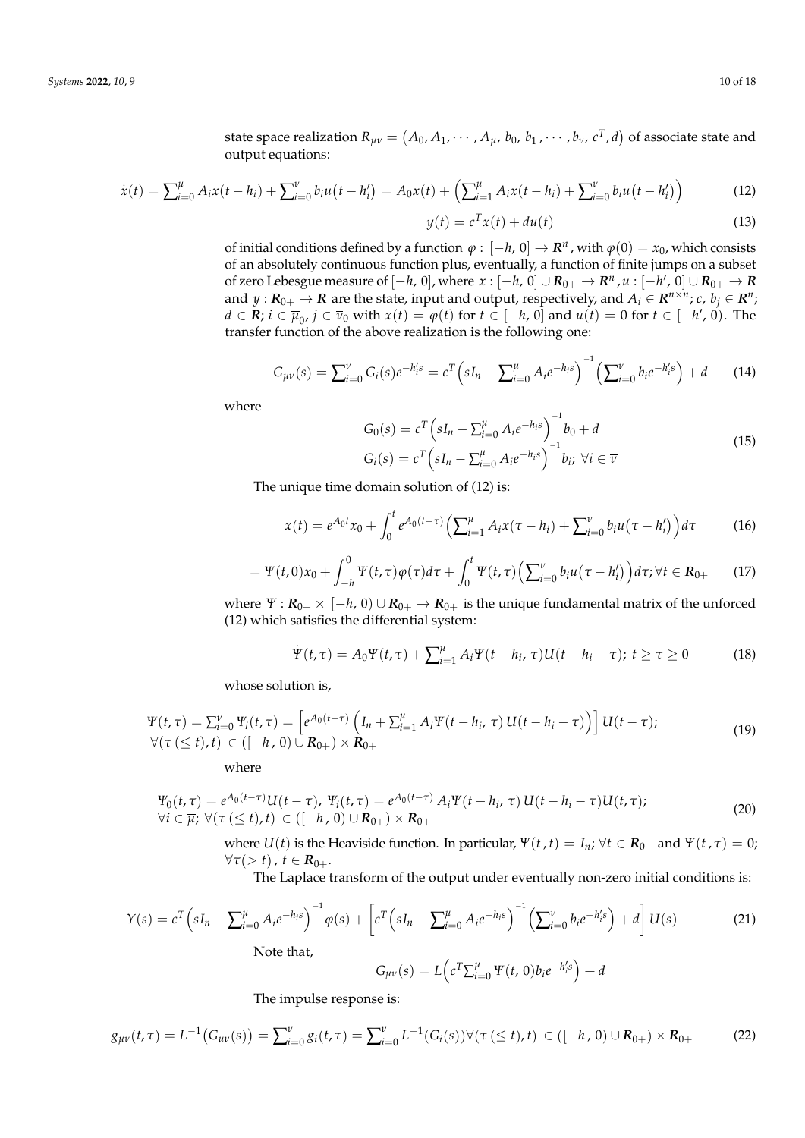state space realization  $R_{\mu\nu} = (A_0, A_1, \cdots, A_\mu, \, b_0, \, b_1$  ,  $\cdots$  ,  $b_\nu$ ,  $c^T$ ,  $d)$  of associate state and output equations:

$$
\dot{x}(t) = \sum_{i=0}^{\mu} A_i x(t - h_i) + \sum_{i=0}^{\nu} b_i u(t - h_i') = A_0 x(t) + \left(\sum_{i=1}^{\mu} A_i x(t - h_i) + \sum_{i=0}^{\nu} b_i u(t - h_i')\right)
$$
(12)

$$
y(t) = cT x(t) + du(t)
$$
 (13)

of initial conditions defined by a function  $\varphi : [-h, 0] \to \mathbb{R}^n$ , with  $\varphi(0) = x_0$ , which consists of an absolutely continuous function plus, eventually, a function of finite jumps on a subset of zero Lebesgue measure of  $[-h, 0]$ , where  $x : [-h, 0] \cup R_{0+} \to R^n$  ,  $u : [-h', 0] \cup R_{0+} \to R$ and  $y: R_{0+} \to \mathbb{R}$  are the state, input and output, respectively, and  $A_i \in \mathbb{R}^{n \times n}$ ;  $c, b_j \in \mathbb{R}^n$ ; *d* ∈ *R*; *i* ∈  $\overline{\mu}_0$ , *j* ∈  $\overline{\nu}_0$  with *x*(*t*) =  $\varphi$ (*t*) for *t* ∈ [−*h*, 0] and *u*(*t*) = 0 for *t* ∈ [−*h*', 0). The transfer function of the above realization is the following one:

$$
G_{\mu\nu}(s) = \sum_{i=0}^{\nu} G_i(s) e^{-h'_i s} = c^T \left( s I_n - \sum_{i=0}^{\mu} A_i e^{-h_i s} \right)^{-1} \left( \sum_{i=0}^{\nu} b_i e^{-h'_i s} \right) + d \tag{14}
$$

where

$$
G_0(s) = c^T \left( sI_n - \sum_{i=0}^{\mu} A_i e^{-h_i s} \right)^{-1} b_0 + d
$$
  
\n
$$
G_i(s) = c^T \left( sI_n - \sum_{i=0}^{\mu} A_i e^{-h_i s} \right)^{-1} b_i; \forall i \in \overline{\nu}
$$
\n(15)

The unique time domain solution of (12) is:

$$
x(t) = e^{A_0 t} x_0 + \int_0^t e^{A_0(t-\tau)} \left( \sum_{i=1}^\mu A_i x(\tau - h_i) + \sum_{i=0}^\nu b_i u(\tau - h'_i) \right) d\tau \tag{16}
$$

$$
= \Psi(t,0)x_0 + \int_{-h}^{0} \Psi(t,\tau)\varphi(\tau)d\tau + \int_{0}^{t} \Psi(t,\tau)\Big(\sum_{i=0}^{\nu} b_i u(\tau - h'_i)\Big)d\tau; \forall t \in \mathbf{R}_{0+}
$$
 (17)

where  $\Psi$  :  $R_{0+} \times [-h, 0] \cup R_{0+} \rightarrow R_{0+}$  is the unique fundamental matrix of the unforced (12) which satisfies the differential system:

$$
\dot{\Psi}(t,\tau) = A_0 \Psi(t,\tau) + \sum_{i=1}^{\mu} A_i \Psi(t-h_i,\tau) U(t-h_i-\tau); \ t \ge \tau \ge 0 \tag{18}
$$

whose solution is,

$$
\Psi(t,\tau) = \sum_{i=0}^{V} \Psi_i(t,\tau) = \left[ e^{A_0(t-\tau)} \left( I_n + \sum_{i=1}^{H} A_i \Psi(t-h_i,\tau) \, U(t-h_i-\tau) \right) \right] U(t-\tau);
$$
\n
$$
\forall (\tau \ (\leq t), t) \in \left( [-h, 0) \cup \mathbf{R}_{0+} \right) \times \mathbf{R}_{0+}
$$
\n(19)

where

$$
\Psi_0(t,\tau) = e^{A_0(t-\tau)}U(t-\tau), \ \Psi_i(t,\tau) = e^{A_0(t-\tau)}A_i\Psi(t-h_i,\tau)U(t-h_i-\tau)U(t,\tau);
$$
  
\n
$$
\forall i \in \overline{\mu}; \ \forall (\tau \leq t), t) \in ([-h, 0) \cup \mathbf{R}_{0+}) \times \mathbf{R}_{0+}
$$
\n(20)

where  $U(t)$  is the Heaviside function. In particular,  $\Psi(t, t) = I_n$ ;  $\forall t \in \mathbb{R}_{0+}$  and  $\Psi(t, \tau) = 0$ ;  $\forall \tau(> t)$ ,  $t \in \mathbb{R}_{0+}$ .

The Laplace transform of the output under eventually non-zero initial conditions is:

$$
Y(s) = c^{T} \left( sI_{n} - \sum_{i=0}^{\mu} A_{i}e^{-h_{i}s} \right)^{-1} \varphi(s) + \left[ c^{T} \left( sI_{n} - \sum_{i=0}^{\mu} A_{i}e^{-h_{i}s} \right)^{-1} \left( \sum_{i=0}^{\nu} b_{i}e^{-h_{i}^{\prime}s} \right) + d \right] U(s)
$$
\nNote that,

$$
G_{\mu\nu}(s) = L\left(c^T \Sigma_{i=0}^{\mu} \Psi(t,0) b_i e^{-h'_i s}\right) + d
$$

The impulse response is:

$$
g_{\mu\nu}(t,\tau) = L^{-1}(G_{\mu\nu}(s)) = \sum_{i=0}^{\nu} g_i(t,\tau) = \sum_{i=0}^{\nu} L^{-1}(G_i(s)) \forall (\tau \ (\leq t), t) \in ([-h, 0) \cup \mathbf{R}_{0+}) \times \mathbf{R}_{0+}
$$
 (22)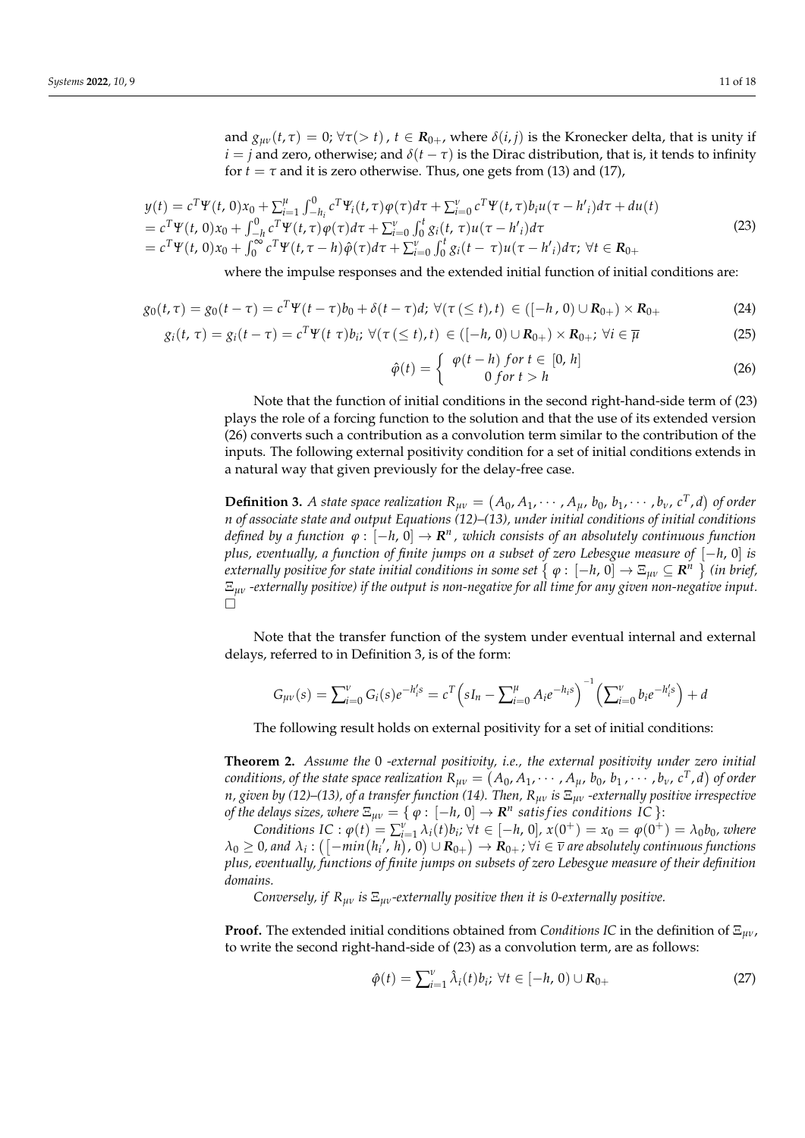and  $g_{\mu\nu}(t, \tau) = 0$ ;  $\forall \tau$ (> *t*),  $t \in \mathbb{R}_{0+}$ , where  $\delta(i, j)$  is the Kronecker delta, that is unity if  $i = j$  and zero, otherwise; and  $\delta(t - \tau)$  is the Dirac distribution, that is, it tends to infinity for  $t = \tau$  and it is zero otherwise. Thus, one gets from (13) and (17),

$$
y(t) = c^T \Psi(t, 0) x_0 + \sum_{i=1}^{\mu} \int_{-h_i}^{0} c^T \Psi_i(t, \tau) \varphi(\tau) d\tau + \sum_{i=0}^{\nu} c^T \Psi(t, \tau) b_i u(\tau - h'_i) d\tau + du(t)
$$
  
=  $c^T \Psi(t, 0) x_0 + \int_{-h}^{0} c^T \Psi(t, \tau) \varphi(\tau) d\tau + \sum_{i=0}^{\nu} \int_{0}^{t} g_i(t, \tau) u(\tau - h'_i) d\tau$   
=  $c^T \Psi(t, 0) x_0 + \int_{0}^{\infty} c^T \Psi(t, \tau - h) \hat{\varphi}(\tau) d\tau + \sum_{i=0}^{\nu} \int_{0}^{t} g_i(t - \tau) u(\tau - h'_i) d\tau; \ \forall t \in \mathbf{R}_{0+}$  (23)

where the impulse responses and the extended initial function of initial conditions are:

$$
g_0(t,\tau) = g_0(t-\tau) = c^T \Psi(t-\tau) b_0 + \delta(t-\tau) d; \ \forall (\tau \ (\leq t), t) \ \in \left( [-h, 0) \cup \mathbf{R}_{0+} \right) \times \mathbf{R}_{0+} \tag{24}
$$

$$
g_i(t, \tau) = g_i(t - \tau) = c^T \Psi(t, \tau) b_i; \ \forall (\tau (\leq t), t) \in ([-h, 0) \cup R_{0+}) \times R_{0+}; \ \forall i \in \overline{\mu}
$$
 (25)

$$
\hat{\varphi}(t) = \begin{cases}\n\varphi(t-h) & \text{for } t \in [0, h] \\
0 & \text{for } t > h\n\end{cases}
$$
\n(26)

Note that the function of initial conditions in the second right-hand-side term of (23) plays the role of a forcing function to the solution and that the use of its extended version (26) converts such a contribution as a convolution term similar to the contribution of the inputs. The following external positivity condition for a set of initial conditions extends in a natural way that given previously for the delay-free case.

**Definition 3.** A state space realization  $R_{\mu\nu} = (A_0, A_1, \dots, A_\mu, b_0, b_1, \dots, b_\nu, c^T, d)$  of order *n of associate state and output Equations (12)–(13), under initial conditions of initial conditions defined by a function ϕ* : [−*h*, 0] → *R n , which consists of an absolutely continuous function plus, eventually, a function of finite jumps on a subset of zero Lebesgue measure of* [−*h*, 0] *is*  $e$ xternally positive for state initial conditions in some set  $\set{\varphi: [-h,0] \to \Xi_{\mu\nu} \subseteq \mathbf{R}^n}$  (in brief, Ξ*µν -externally positive) if the output is non-negative for all time for any given non-negative input.*  $\Box$ 

Note that the transfer function of the system under eventual internal and external delays, referred to in Definition 3, is of the form:

$$
G_{\mu\nu}(s) = \sum_{i=0}^{\nu} G_i(s) e^{-h'_i s} = c^T \left( sI_n - \sum_{i=0}^{\mu} A_i e^{-h_i s} \right)^{-1} \left( \sum_{i=0}^{\nu} b_i e^{-h'_i s} \right) + d
$$

The following result holds on external positivity for a set of initial conditions:

**Theorem 2.** *Assume the* 0 *-external positivity, i.e., the external positivity under zero initial*  $X_{\mu\nu}$  (*A*<sub>0</sub>, *A*<sub> $\mu\nu}$  , *b*<sub>0</sub>, *b*<sub>1</sub>,  $\cdots$  , *b*<sub>v</sub>, *c*<sup>T</sup>, *d*) *of order*</sub> *n, given by (12)–(13), of a transfer function (14). Then, Rµν is* Ξ*µν -externally positive irrespective of the delays sizes, where*  $\Xi_{\mu\nu} = \{\ \varphi : \ [-h, 0] \to \mathbf{R}^n \ \textit{satisfies conditions IC} \ \}$ :

Conditions IC:  $\varphi(t) = \sum_{i=1}^{v} \lambda_i(t) b_i$ ;  $\forall t \in [-h, 0], x(0^+) = x_0 = \varphi(0^+) = \lambda_0 b_0$ , where  $\lambda_0 \geq 0$ , and  $\lambda_i:([ -min(h_i', h), 0) \cup \mathbf{R}_{0+} ) \to \mathbf{R}_{0+}$  ;  $\forall i \in \overline{\nu}$  are absolutely continuous functions *plus, eventually, functions of finite jumps on subsets of zero Lebesgue measure of their definition domains.*

*Conversely, if Rµν is* Ξ*µν-externally positive then it is 0-externally positive.*

**Proof.** The extended initial conditions obtained from *Conditions IC* in the definition of Ξ*µν*, to write the second right-hand-side of (23) as a convolution term, are as follows:

$$
\hat{\varphi}(t) = \sum_{i=1}^{V} \hat{\lambda}_i(t) b_i; \ \forall t \in [-h, 0) \cup \mathbf{R}_{0+}
$$
\n(27)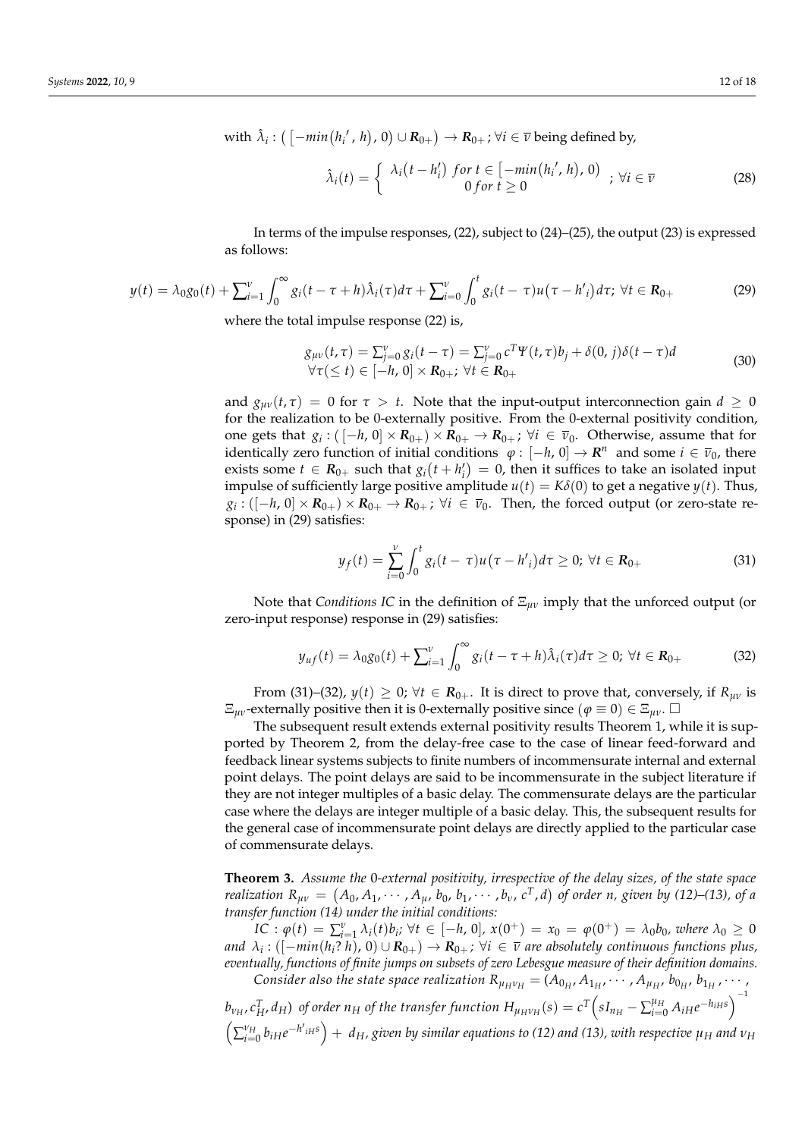$\pi$  with  $\hat{\lambda}_i$  :  $\big(\left[-min(h_i', h), 0\right) \cup \mathbf{R}_{0+}\big) \to \mathbf{R}_{0+}$ ;  $\forall i \in \overline{\nu}$  being defined by,

$$
\hat{\lambda}_i(t) = \begin{cases}\n\lambda_i(t - h'_i) & \text{for } t \in [-\min(h'_i, h), 0) \\
0 & \text{for } t \ge 0\n\end{cases} \quad ; \, \forall i \in \overline{\nu}\n\tag{28}
$$

In terms of the impulse responses, (22), subject to (24)–(25), the output (23) is expressed as follows:

$$
y(t) = \lambda_0 g_0(t) + \sum_{i=1}^{\nu} \int_0^{\infty} g_i(t - \tau + h) \hat{\lambda}_i(\tau) d\tau + \sum_{i=0}^{\nu} \int_0^t g_i(t - \tau) u(\tau - h'_i) d\tau; \ \forall t \in \mathbf{R}_{0+}
$$
(29)

where the total impulse response (22) is,

$$
g_{\mu\nu}(t,\tau) = \sum_{j=0}^{\nu} g_i(t-\tau) = \sum_{j=0}^{\nu} c^T \Psi(t,\tau) b_j + \delta(0,j) \delta(t-\tau) d
$$
  
\n
$$
\forall \tau (\le t) \in [-h, 0] \times \mathbf{R}_{0+}; \ \forall t \in \mathbf{R}_{0+}
$$
\n(30)

and  $g_{\mu\nu}(t,\tau) = 0$  for  $\tau > t$ . Note that the input-output interconnection gain  $d \ge 0$ for the realization to be 0-externally positive. From the 0-external positivity condition, one gets that  $g_i:([-h, 0] \times R_{0+}) \times R_{0+} \to R_{0+}$ ;  $\forall i \in \bar{\nu}_0$ . Otherwise, assume that for identically zero function of initial conditions  $\varphi : [-h, 0] \to \mathbb{R}^n$  and some  $i \in \bar{\nu}_0$ , there exists some  $t \in \mathbf{R}_{0+}$  such that  $g_i(t + h'_i) = 0$ , then it suffices to take an isolated input impulse of sufficiently large positive amplitude  $u(t) = K\delta(0)$  to get a negative  $y(t)$ . Thus,  $g_i:([-h, 0] \times R_{0+}) \times R_{0+} \to R_{0+}$ ;  $\forall i \in \overline{v}_0$ . Then, the forced output (or zero-state response) in (29) satisfies:

$$
y_f(t) = \sum_{i=0}^{V} \int_0^t g_i(t-\tau) u(\tau - h'_i) d\tau \ge 0; \ \forall t \in \mathbf{R}_{0+}
$$
 (31)

Note that *Conditions IC* in the definition of Ξ*µν* imply that the unforced output (or zero-input response) response in (29) satisfies:

$$
y_{uf}(t) = \lambda_0 g_0(t) + \sum_{i=1}^{V} \int_0^{\infty} g_i(t - \tau + h) \hat{\lambda}_i(\tau) d\tau \ge 0; \ \forall t \in \mathbf{R}_{0+}
$$
 (32)

From (31)–(32),  $y(t) \geq 0$ ;  $\forall t \in \mathbb{R}_{0+}$ . It is direct to prove that, conversely, if  $R_{uv}$  is  $\Xi_{\mu\nu}$ -externally positive then it is 0-externally positive since  $(\varphi \equiv 0) \in \Xi_{\mu\nu}$ .  $\square$ 

The subsequent result extends external positivity results Theorem 1, while it is supported by Theorem 2, from the delay-free case to the case of linear feed-forward and feedback linear systems subjects to finite numbers of incommensurate internal and external point delays. The point delays are said to be incommensurate in the subject literature if they are not integer multiples of a basic delay. The commensurate delays are the particular case where the delays are integer multiple of a basic delay. This, the subsequent results for the general case of incommensurate point delays are directly applied to the particular case of commensurate delays.

**Theorem 3.** *Assume the* 0*-external positivity, irrespective of the delay sizes, of the state space realization*  $R_{\mu\nu} = (A_0, A_1, \cdots, A_{\mu}, b_0, b_1, \cdots, b_{\nu}, c^T, d)$  of order n, given by (12)–(13), of a *transfer function (14) under the initial conditions:*

 $IC: \varphi(t) = \sum_{i=1}^{v} \lambda_i(t) b_i; \forall t \in [-h, 0], x(0^+) = x_0 = \varphi(0^+) = \lambda_0 b_0$ , where  $\lambda_0 \ge 0$ and  $\,\lambda_i:([-\min(h_i?~h),\,0)\cup{\bf R}_{0+})\to{\bf R}_{0+}$ ;  $\forall i\,\in\,\overline{\nu}$  are absolutely continuous functions plus, *eventually, functions of finite jumps on subsets of zero Lebesgue measure of their definition domains.*

*Consider also the state space realization*  $R_{\mu_H \nu_H} = (A_{0_H}, A_{1_H}, \cdots, A_{\mu_H}, b_{0_H}, b_{1_H}, \cdots)$  $b_{\nu_H}$ ,  $c_H^T$ ,  $d_H$ ) of order  $n_H$  of the transfer function  $H_{\mu_H\nu_H}(s)=c^T\Big(sI_{n_H}-\sum_{i=0}^{\mu_H}A_{iH}e^{-h_{iH}s}\Big)^{-1}$  $\left(\sum_{i=0}^{v_H} b_{iH}e^{-h'_{iH}s}\right)$  +  $d_H$ , given by similar equations to (12) and (13), with respective  $\mu_H$  and  $v_H$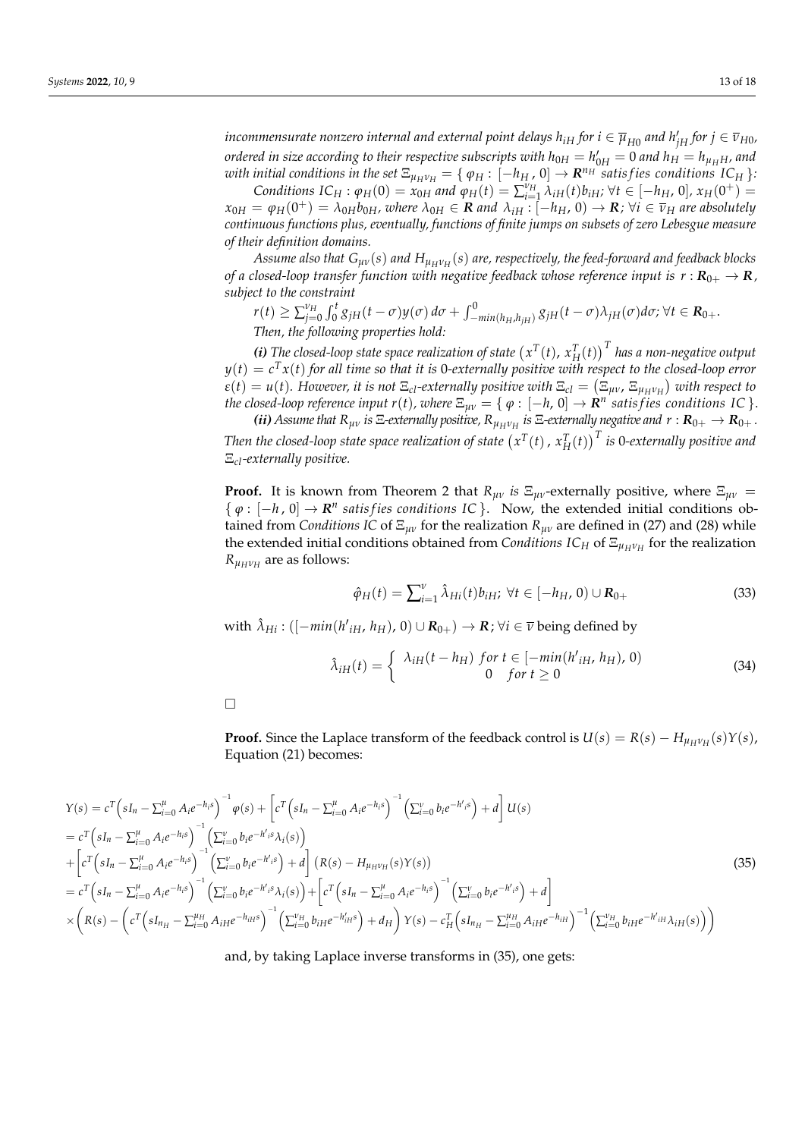$i$ ncommensurate nonzero internal and external point delays  $h_{iH}$  for  $i\in \overline{\mu}_{H0}$  and  $h'_{jH}$  for  $j\in \overline{\nu}_{H0}$ , *ordered in size according to their respective subscripts with*  $h_{0H} = h'_{0H} = 0$  *and*  $h_H = h_{\mu_H H}$ *, and with initial conditions in the set*  $\Xi_{\mu_H\nu_H} = \{ \varphi_H: [-h_H, 0] \to \mathbf{R}^{n_H}$  satisfies conditions  $IC_H$  }: Conditions  $IC_H: \varphi_H(0) = x_{0H}$  and  $\varphi_H(t) = \sum_{i=1}^{V_H} \lambda_{iH}(t) b_{iH}$ ;  $\forall t \in [-h_H, 0], x_H(0^+) =$ 

 $x_{0H} = \varphi_H(0^+) = \lambda_{0H}b_{0H}$ , where  $\lambda_{0H} \in \mathbf{R}$  and  $\lambda_{iH}$  :  $[-h_H, 0] \to \mathbf{R}$ ;  $\forall i \in \overline{v}_H$  are absolutely *continuous functions plus, eventually, functions of finite jumps on subsets of zero Lebesgue measure of their definition domains.*

*Assume also that Gµν*(*s*) *and HµHν<sup>H</sup>* (*s*) *are, respectively, the feed-forward and feedback blocks of a closed-loop transfer function with negative feedback whose reference input is*  $r : R_{0+} \to R$ , *subject to the constraint*

$$
r(t) \ge \sum_{j=0}^{\nu_H} \int_0^t g_{jH}(t-\sigma)y(\sigma) d\sigma + \int_{-min(h_H, h_{jH})}^0 g_{jH}(t-\sigma)\lambda_{jH}(\sigma) d\sigma; \forall t \in \mathbb{R}_{0+}.
$$
  
Then, the following properties hold:

*(i)* The closed-loop state space realization of state  $(x^T(t), x_H^T(t))^T$  has a non-negative output *y*(*t*) = *c <sup>T</sup>x*(*t*) *for all time so that it is* 0*-externally positive with respect to the closed-loop error*  $\varepsilon(t) = u(t)$ . However, it is not  $\Xi_{cl}$ -externally positive with  $\Xi_{cl} = (\Xi_{\mu\nu}$ ,  $\Xi_{\mu_H\nu_H})$  with respect to *the closed-loop reference input r(t), where*  $\Xi_{\mu\nu}=\{$  $\varphi:[-h,0]\to\mathbf{R}^n$  *satisfies conditions IC*  $\}.$ 

*(ii)* Assume that  $R_{\mu\nu}$  is  $\Xi$ -externally positive,  $R_{\mu_H\nu_H}$  is  $\Xi$ -externally negative and  $r: R_{0+} \to R_{0+}$ . Then the closed-loop state space realization of state  $\left(x^T(t)\,,\,x^T_H(t)\right)^T$  is 0-externally positive and Ξ*cl-externally positive.*

**Proof.** It is known from Theorem 2 that  $R_{\mu\nu}$  *is*  $E_{\mu\nu}$ -externally positive, where  $E_{\mu\nu}$  =  $\{\varphi : [-h, 0] \to \mathbb{R}^n \text{ satisfies conditions IC } \}.$  Now, the extended initial conditions obtained from *Conditions IC* of Ξ*µν* for the realization *Rµν* are defined in (27) and (28) while the extended initial conditions obtained from *Conditions IC<sup>H</sup>* of Ξ*µHν<sup>H</sup>* for the realization  $R_{\mu_H \nu_H}$  are as follows:

$$
\hat{\varphi}_H(t) = \sum_{i=1}^{\nu} \hat{\lambda}_{Hi}(t) b_{iH}; \ \forall t \in [-h_H, 0) \cup \mathbf{R}_{0+}
$$
\n(33)

 $\hat{\lambda}_{Hi}: ([-min(h'_{iH}, h_H), 0) \cup R_{0+}) \rightarrow R$ ;  $\forall i \in \overline{\nu}$  being defined by

$$
\hat{\lambda}_{iH}(t) = \begin{cases}\n\lambda_{iH}(t - h_{H}) & \text{for } t \in [-\min(h_{iH}', h_{H}), 0) \\
0 & \text{for } t \ge 0\n\end{cases}\n\tag{34}
$$

 $\Box$ 

**Proof.** Since the Laplace transform of the feedback control is  $U(s) = R(s) - H_{\mu_H \nu_H}(s)Y(s)$ , Equation (21) becomes:

$$
\begin{split}\nY(s) &= c^T \left( sI_n - \sum_{i=0}^{\mu} A_i e^{-h_i s} \right)^{-1} \varphi(s) + \left[ c^T \left( sI_n - \sum_{i=0}^{\mu} A_i e^{-h_i s} \right)^{-1} \left( \sum_{i=0}^{\nu} b_i e^{-h_i s} \right) + d \right] U(s) \\
&= c^T \left( sI_n - \sum_{i=0}^{\mu} A_i e^{-h_i s} \right)^{-1} \left( \sum_{i=0}^{\nu} b_i e^{-h_i s} \lambda_i(s) \right) \\
&+ \left[ c^T \left( sI_n - \sum_{i=0}^{\mu} A_i e^{-h_i s} \right)^{-1} \left( \sum_{i=0}^{\nu} b_i e^{-h_i s} \right) + d \right] (R(s) - H_{\mu\mu\nu\mu}(s) Y(s)) \\
&= c^T \left( sI_n - \sum_{i=0}^{\mu} A_i e^{-h_i s} \right)^{-1} \left( \sum_{i=0}^{\nu} b_i e^{-h_i s} \lambda_i(s) \right) + \left[ c^T \left( sI_n - \sum_{i=0}^{\mu} A_i e^{-h_i s} \right)^{-1} \left( \sum_{i=0}^{\nu} b_i e^{-h_i s} \right) + d \right] \\
&\times \left( R(s) - \left( c^T \left( sI_{nH} - \sum_{i=0}^{\mu} A_{iH} e^{-h_{iH} s} \right)^{-1} \left( \sum_{i=0}^{\nu} b_{iH} e^{-h_{iH} s} \right) + d_H \right) Y(s) - c_H^T \left( sI_{nH} - \sum_{i=0}^{\mu} A_{iH} e^{-h_{iH}} \right)^{-1} \left( \sum_{i=0}^{\nu} b_{iH} e^{-h_i s} \lambda_i(s) \right) \right)\n\end{split} \tag{35}
$$

and, by taking Laplace inverse transforms in (35), one gets: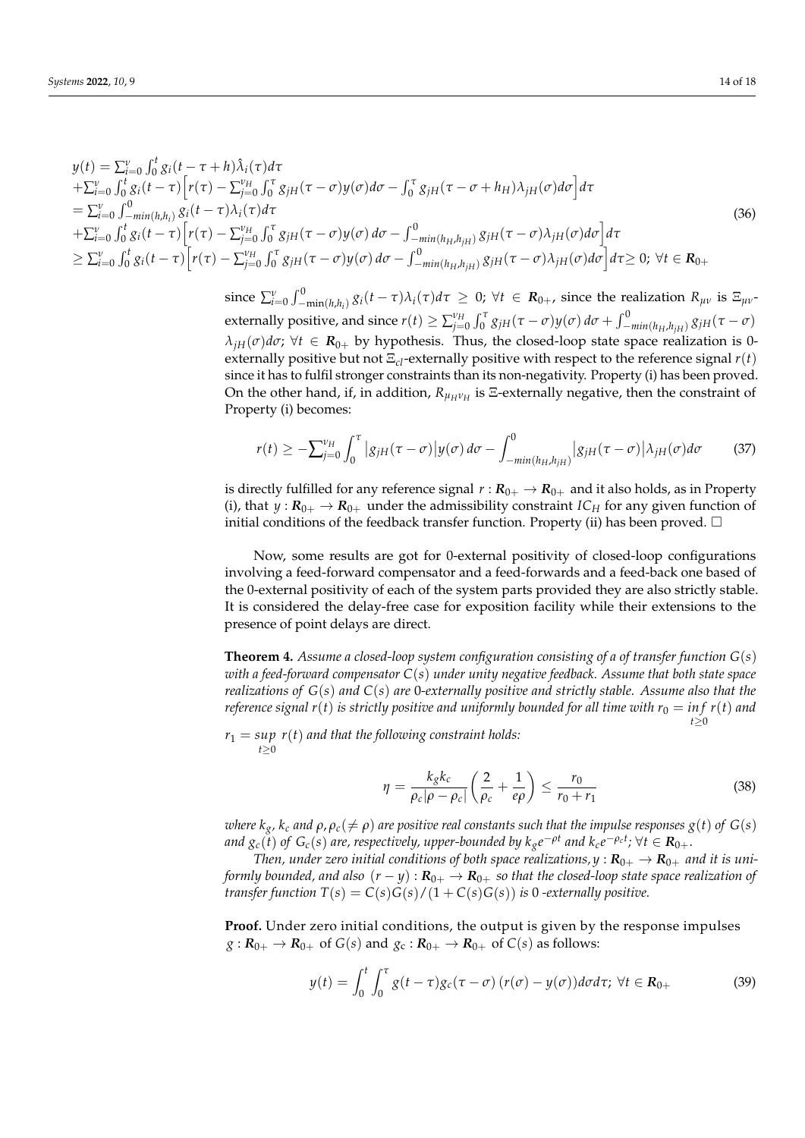$$
y(t) = \sum_{i=0}^{V} \int_{0}^{t} g_{i}(t-\tau+h)\hat{\lambda}_{i}(\tau)d\tau + \sum_{i=0}^{V} \int_{0}^{t} g_{i}(t-\tau)\Big[r(\tau) - \sum_{j=0}^{V_{H}} \int_{0}^{\tau} g_{jH}(\tau-\sigma)y(\sigma)d\sigma - \int_{0}^{\tau} g_{jH}(\tau-\sigma+h_{H})\lambda_{jH}(\sigma)d\sigma\Big]d\tau = \sum_{i=0}^{V} \int_{-\min\{h,h_{i}\}}^{0} g_{i}(t-\tau)\hat{\lambda}_{i}(\tau)d\tau + \sum_{i=0}^{V} \int_{0}^{t} g_{i}(t-\tau)\Big[r(\tau) - \sum_{j=0}^{V_{H}} \int_{0}^{\tau} g_{jH}(\tau-\sigma)y(\sigma)d\sigma - \int_{-\min\{h_{H},h_{jH}\}}^{0} g_{jH}(\tau-\sigma)\lambda_{jH}(\sigma)d\sigma\Big]d\tau \geq \sum_{i=0}^{V} \int_{0}^{t} g_{i}(t-\tau)\Big[r(\tau) - \sum_{j=0}^{V_{H}} \int_{0}^{\tau} g_{jH}(\tau-\sigma)y(\sigma)d\sigma - \int_{-\min\{h_{H},h_{jH}\}}^{0} g_{jH}(\tau-\sigma)\lambda_{jH}(\sigma)d\sigma\Big]d\tau \geq 0; \forall t \in \mathbb{R}_{0+}
$$
\n(36)

since  $\sum_{i=0}^{\nu}\int_{-\min(h,h_i)}^{0}g_i(t-\tau)\lambda_i(\tau)d\tau \geq 0$ ;  $\forall t \in \mathbf{R}_{0+}$ , since the realization  $R_{\mu\nu}$  is  $\Xi_{\mu\nu}$ externally positive, and since  $r(t)\geq \sum_{j=0}^{\nu_H}\int_0^\tau g_{jH}(\tau-\sigma)y(\sigma)\,d\sigma+\int_{-min(h_H,h_{jH})}^0 g_{jH}(\tau-\sigma)$  $\lambda_{jH}(\sigma)d\sigma$ ;  $\forall t \in \mathbb{R}_{0+}$  by hypothesis. Thus, the closed-loop state space realization is 0externally positive but not Ξ*cl*-externally positive with respect to the reference signal *r*(*t*) since it has to fulfil stronger constraints than its non-negativity. Property (i) has been proved. On the other hand, if, in addition,  $R_{\mu_H \nu_H}$  is  $\Xi$ -externally negative, then the constraint of Property (i) becomes:

$$
r(t) \geq -\sum_{j=0}^{\nu_H} \int_0^{\tau} |g_{jH}(\tau - \sigma)| y(\sigma) d\sigma - \int_{-min(h_H, h_{jH})}^0 |g_{jH}(\tau - \sigma)| \lambda_{jH}(\sigma) d\sigma \qquad (37)
$$

is directly fulfilled for any reference signal  $r: \mathbf{R}_{0+} \to \mathbf{R}_{0+}$  and it also holds, as in Property (i), that  $y: \mathbf{R}_{0+} \to \mathbf{R}_{0+}$  under the admissibility constraint *IC<sub>H</sub>* for any given function of initial conditions of the feedback transfer function. Property (ii) has been proved.  $\Box$ 

Now, some results are got for 0-external positivity of closed-loop configurations involving a feed-forward compensator and a feed-forwards and a feed-back one based of the 0-external positivity of each of the system parts provided they are also strictly stable. It is considered the delay-free case for exposition facility while their extensions to the presence of point delays are direct.

**Theorem 4.** *Assume a closed-loop system configuration consisting of a of transfer function G*(*s*) *with a feed-forward compensator C*(*s*) *under unity negative feedback. Assume that both state space realizations of G*(*s*) *and C*(*s*) *are* 0*-externally positive and strictly stable. Assume also that the reference signal r(t) is strictly positive and uniformly bounded for all time with*  $r_0 = \inf r(t)$  *and t*≥0

*r*<sup>1</sup> = *sup r*(*t*) *and that the following constraint holds: t*≥0

$$
\eta = \frac{k_g k_c}{\rho_c |\rho - \rho_c|} \left( \frac{2}{\rho_c} + \frac{1}{e\rho} \right) \le \frac{r_0}{r_0 + r_1} \tag{38}
$$

*where*  $k_g$ ,  $k_c$  and  $\rho$ ,  $\rho_c$ ( $\neq \rho$ ) are positive real constants such that the impulse responses  $g(t)$  of  $G(s)$ and  $g_c(\v{t})$  of  $G_c(s)$  are, respectively, upper-bounded by  $k_g e^{-\rho t}$  and  $k_c e^{-\rho_c t}$ ;  $\forall t\in \mathbf{R}_{0+}.$ 

*Then, under zero initial conditions of both space realizations,*  $y : R_{0+} \to R_{0+}$  *and it is uniformly bounded, and also*  $(r - y)$ :  $R_{0+} \rightarrow R_{0+}$  *so that the closed-loop state space realization of transfer function*  $T(s) = C(s)G(s)/(1+C(s)G(s))$  *is* 0 *-externally positive.* 

**Proof.** Under zero initial conditions, the output is given by the response impulses  $g: \mathbf{R}_{0+} \to \mathbf{R}_{0+}$  of  $G(s)$  and  $g_c: \mathbf{R}_{0+} \to \mathbf{R}_{0+}$  of  $C(s)$  as follows:

$$
y(t) = \int_0^t \int_0^\tau g(t-\tau)g_c(\tau-\sigma)\left(r(\sigma)-y(\sigma)\right)d\sigma d\tau; \ \forall t \in \mathbf{R}_{0+}
$$
 (39)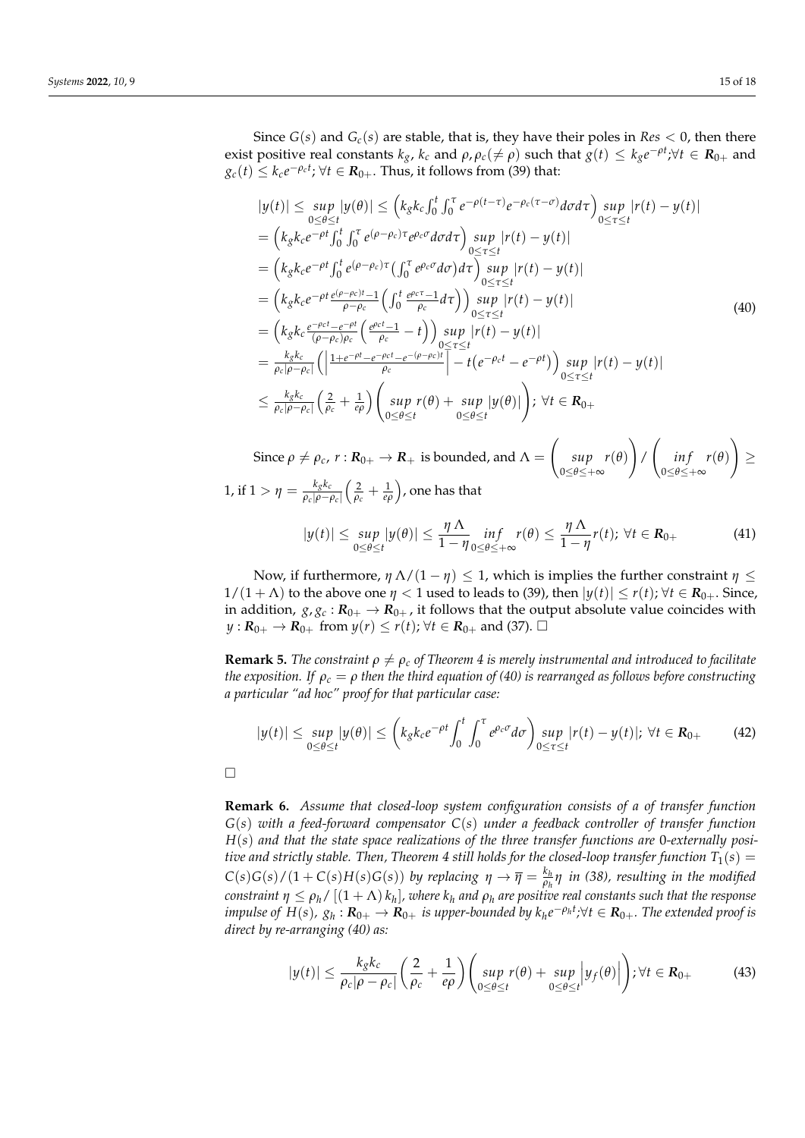Since  $G(s)$  and  $G_c(s)$  are stable, that is, they have their poles in  $Res < 0$ , then there exist positive real constants  $k_g$ ,  $k_c$  and  $\rho$ ,  $\rho_c(\neq \rho)$  such that  $g(t) \leq k_g e^{-\rho t}$ ; $\forall t \in \mathbf{R}_{0+}$  and  $g_c(t) \leq k_c e^{-\rho_c t}$ ;  $\forall t \in \mathbf{R}_{0+}.$  Thus, it follows from (39) that:

$$
|y(t)| \le \sup_{0 \le \theta \le t} |y(\theta)| \le \left(k_g k_c \int_0^t \int_0^{\tau} e^{-\rho(t-\tau)} e^{-\rho_c(\tau-\sigma)} d\sigma d\tau \right) \sup_{0 \le \tau \le t} |r(t) - y(t)|
$$
  
\n
$$
= \left(k_g k_c e^{-\rho t} \int_0^t \int_0^{\tau} e^{(\rho-\rho_c)\tau} e^{\rho_c \sigma} d\sigma d\tau \right) \sup_{0 \le \tau \le t} |r(t) - y(t)|
$$
  
\n
$$
= \left(k_g k_c e^{-\rho t} \int_0^t e^{(\rho-\rho_c)\tau} \left(\int_0^{\tau} e^{\rho_c \sigma} d\sigma \right) d\tau \right) \sup_{0 \le \tau \le t} |r(t) - y(t)|
$$
  
\n
$$
= \left(k_g k_c e^{-\rho t} \frac{e^{(\rho-\rho_c)t} - 1}{\rho-\rho_c} \left(\int_0^t \frac{e^{\rho_c \tau} - 1}{\rho_c} d\tau \right) \right) \sup_{0 \le \tau \le t} |r(t) - y(t)|
$$
  
\n
$$
= \left(k_g k_c \frac{e^{-\rho_c t} - e^{-\rho t}}{(\rho-\rho_c)\rho_c} \left(\frac{e^{\rho_c t} - 1}{\rho_c} - t\right) \right) \sup_{0 \le \tau \le t} |r(t) - y(t)|
$$
  
\n
$$
= \frac{k_g k_c}{\rho_c |\rho-\rho_c|} \left( \left| \frac{1 + e^{-\rho t} - e^{-\rho_c t} - e^{-(\rho-\rho_c)t}}{\rho_c} \right| - t (e^{-\rho_c t} - e^{-\rho t}) \right) \sup_{0 \le \tau \le t} |r(t) - y(t)|
$$
  
\n
$$
\le \frac{k_g k_c}{\rho_c |\rho-\rho_c|} \left( \frac{2}{\rho_c} + \frac{1}{\rho \rho} \right) \left( \sup_{0 \le \theta \le t} r(\theta) + \sup_{0 \le \theta \le t} |y(\theta)| \right); \forall t \in \mathbf{R}_{0+}
$$

Since  $\rho \neq \rho_c$ ,  $r : \mathbf{R}_{0+} \to \mathbf{R}_+$  is bounded, and  $\Lambda =$  $\sqrt{2}$ *sup* 0≤*θ*≤+∞ *r*(*θ*)  $\setminus$ /  $\sqrt{ }$ *in f* 0≤*θ*≤+∞ *r*(*θ*)  $\setminus$ ≥ 1, if 1 >  $η = \frac{k_g k_c}{\rho_c | ρ - ρ}$ *ρ<sup>c</sup>* |*ρ*−*ρ<sup>c</sup>* |  $\left(\frac{2}{\rho_c} + \frac{1}{e\rho}\right)$ , one has that

$$
|y(t)| \le \sup_{0 \le \theta \le t} |y(\theta)| \le \frac{\eta \Lambda}{1 - \eta} \inf_{0 \le \theta \le +\infty} r(\theta) \le \frac{\eta \Lambda}{1 - \eta} r(t); \ \forall t \in \mathbf{R}_{0+}
$$
 (41)

Now, if furthermore,  $η$  Λ/(1 −  $η$ ) ≤ 1, which is implies the further constraint  $η$  ≤  $1/(1 + \Lambda)$  to the above one  $\eta < 1$  used to leads to (39), then  $|y(t)| \le r(t)$ ;  $\forall t \in \mathbb{R}_{0+}$ . Since, in addition,  $g$ ,  $g$ <sub>c</sub>:  $R$ <sub>0+</sub>  $\rightarrow$   $R$ <sub>0+</sub>, it follows that the output absolute value coincides with *y* :  $R_{0+}$  →  $R_{0+}$  from  $y(r) \le r(t)$ ;  $\forall t \in R_{0+}$  and (37). □

**Remark 5.** *The constraint*  $\rho \neq \rho_c$  *of Theorem 4 is merely instrumental and introduced to facilitate the exposition. If ρ<sup>c</sup>* = *ρ then the third equation of (40) is rearranged as follows before constructing a particular "ad hoc" proof for that particular case:*

$$
|y(t)| \le \sup_{0 \le \theta \le t} |y(\theta)| \le \left( k_g k_c e^{-\rho t} \int_0^t \int_0^{\tau} e^{\rho_c \sigma} d\sigma \right) \sup_{0 \le \tau \le t} |r(t) - y(t)|; \ \forall t \in \mathbf{R}_{0+}
$$
 (42)

 $\Box$ 

**Remark 6.** *Assume that closed-loop system configuration consists of a of transfer function G*(*s*) *with a feed-forward compensator C*(*s*) *under a feedback controller of transfer function H*(*s*) *and that the state space realizations of the three transfer functions are* 0*-externally positive and strictly stable. Then, Theorem 4 still holds for the closed-loop transfer function*  $T_1(s)$  =  $C(s)G(s)/(1+C(s)H(s)G(s))$  by replacing  $\eta \to \overline{\eta} = \frac{k_h}{\rho_h}$ *ρh η in (38), resulting in the modified*  $\epsilon$  *constraint*  $\eta \le \rho_h$  /  $[(1+\Lambda)\,k_h]$  *, where*  $k_h$  *and*  $\rho_h$  *are positive real constants such that the response* impulse of  $H(s)$ ,  $g_h: \mathbf{R}_{0+}\to \mathbf{R}_{0+}$  is upper-bounded by  $k_h e^{-\rho_h t}$ ; $\forall t\in \mathbf{R}_{0+}$ . The extended proof is *direct by re-arranging (40) as:*

$$
|y(t)| \leq \frac{k_g k_c}{\rho_c |\rho - \rho_c|} \left(\frac{2}{\rho_c} + \frac{1}{e\rho}\right) \left(\sup_{0 \leq \theta \leq t} r(\theta) + \sup_{0 \leq \theta \leq t} \left|y_f(\theta)\right|\right); \forall t \in \mathbf{R}_{0+}
$$
(43)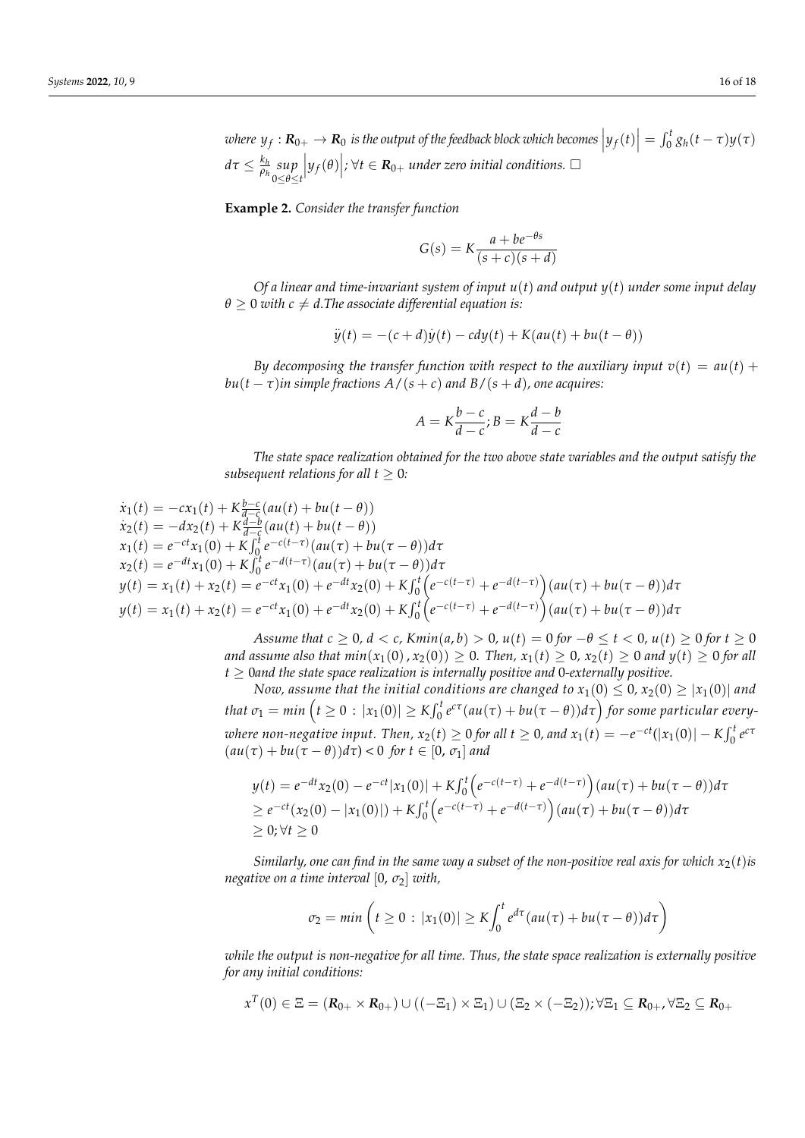$v$  *k*  $y_f: \mathbf{R}_{0+} \to \mathbf{R}_0$  is the output of the feedback block which becomes  $\left|y_f(t)\right| = \int_0^t g_h(t-\tau) y(\tau)$ *dτ* ≤  $\frac{k_h}{ρ_h}$ *ρh sup* 0≤*θ*≤*t*  $\left| y_f(\theta) \right|$ ; ∀*t* ∈ *R***<sub>0+</sub>** *under zero initial conditions.* □

**Example 2.** *Consider the transfer function*

$$
G(s) = K \frac{a + be^{-\theta s}}{(s+c)(s+d)}
$$

*Of a linear and time-invariant system of input u*(*t*) *and output y*(*t*) *under some input delay*  $\theta \geq 0$  *with*  $c \neq d$ . The associate differential equation is:

$$
\ddot{y}(t) = -(c+d)\dot{y}(t) - cdy(t) + K(au(t) + bu(t - \theta))
$$

*By decomposing the transfer function with respect to the auxiliary input*  $v(t) = au(t) +$ *bu*( $t - \tau$ )*in simple fractions A*/( $s + c$ ) *and B*/( $s + d$ )*, one acquires:* 

$$
A = K \frac{b - c}{d - c}; B = K \frac{d - b}{d - c}
$$

*The state space realization obtained for the two above state variables and the output satisfy the subsequent relations for all*  $t > 0$ *:* 

$$
\dot{x}_1(t) = -cx_1(t) + K_{d-c}^{b-c}(au(t) + bu(t - \theta))
$$
\n
$$
\dot{x}_2(t) = -dx_2(t) + K_{d-c}^{d-b}(au(t) + bu(t - \theta))
$$
\n
$$
x_1(t) = e^{-ct}x_1(0) + K_{0}^{f}e^{-c(t-\tau)}(au(\tau) + bu(\tau - \theta))d\tau
$$
\n
$$
x_2(t) = e^{-dt}x_1(0) + K_{0}^{f}e^{-d(t-\tau)}(au(\tau) + bu(\tau - \theta))d\tau
$$
\n
$$
y(t) = x_1(t) + x_2(t) = e^{-ct}x_1(0) + e^{-dt}x_2(0) + K_{0}^{f}e^{-c(t-\tau)} + e^{-d(t-\tau)}(au(\tau) + bu(\tau - \theta))d\tau
$$
\n
$$
y(t) = x_1(t) + x_2(t) = e^{-ct}x_1(0) + e^{-dt}x_2(0) + K_{0}^{f}e^{-c(t-\tau)} + e^{-d(t-\tau)}(au(\tau) + bu(\tau - \theta))d\tau
$$

*Assume that*  $c \ge 0$ ,  $d < c$ ,  $Kmin(a, b) > 0$ ,  $u(t) = 0$  for  $-\theta \le t < 0$ ,  $u(t) \ge 0$  for  $t \ge 0$ *and assume also that*  $min(x_1(0), x_2(0)) \ge 0$ . Then,  $x_1(t) \ge 0$ ,  $x_2(t) \ge 0$  and  $y(t) \ge 0$  for all *t* ≥ 0*and the state space realization is internally positive and* 0*-externally positive.*

*Now, assume that the initial conditions are changed to*  $x_1(0) \le 0$ ,  $x_2(0) \ge |x_1(0)|$  and  $t$ hat  $\sigma_1 = min\left(t \geq 0 : |x_1(0)| \geq K \int_0^t e^{c\tau}(au(\tau) + bu(\tau - \theta))d\tau\right)$  for some particular every*where non-negative input. Then,*  $x_2(t) \ge 0$  *for all*  $t \ge 0$ *, and*  $x_1(t) = -e^{-ct}(|x_1(0)| - K\int_0^t e^{ct}$  $(au(\tau) + bu(\tau - \theta))d\tau$  < 0 *for*  $t \in [0, \sigma_1]$  *and* 

$$
y(t) = e^{-dt}x_2(0) - e^{-ct}|x_1(0)| + K\int_0^t \left(e^{-c(t-\tau)} + e^{-d(t-\tau)}\right)(au(\tau) + bu(\tau - \theta))d\tau
$$
  
\n
$$
\geq e^{-ct}(x_2(0) - |x_1(0)|) + K\int_0^t \left(e^{-c(t-\tau)} + e^{-d(t-\tau)}\right)(au(\tau) + bu(\tau - \theta))d\tau
$$
  
\n
$$
\geq 0; \forall t \geq 0
$$

*Similarly, one can find in the same way a subset of the non-positive real axis for which*  $x_2(t)$ *is negative on a time interval* [0, *σ*2] *with,*

$$
\sigma_2 = \min\left(t \geq 0 : |x_1(0)| \geq K \int_0^t e^{d\tau} (au(\tau) + bu(\tau - \theta)) d\tau\right)
$$

*while the output is non-negative for all time. Thus, the state space realization is externally positive for any initial conditions:*

$$
x^T(0) \in \Xi = (\mathbf{R}_{0+} \times \mathbf{R}_{0+}) \cup ((-\Xi_1) \times \Xi_1) \cup (\Xi_2 \times (-\Xi_2)); \forall \Xi_1 \subseteq \mathbf{R}_{0+}, \forall \Xi_2 \subseteq \mathbf{R}_{0+}
$$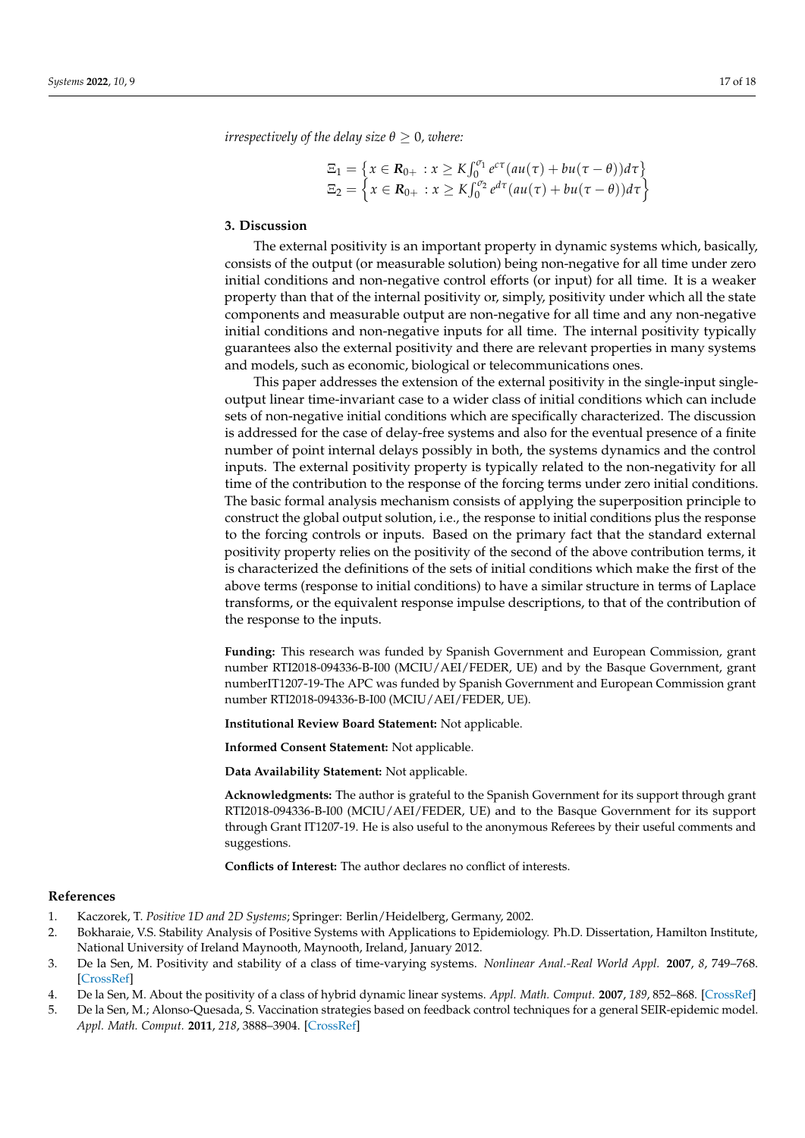*irrespectively of the delay size*  $\theta \geq 0$ *, where:* 

$$
\Xi_1 = \left\{ x \in \mathbf{R}_{0+} : x \ge K \int_0^{\sigma_1} e^{c\tau} (au(\tau) + bu(\tau - \theta)) d\tau \right\}
$$
  

$$
\Xi_2 = \left\{ x \in \mathbf{R}_{0+} : x \ge K \int_0^{\sigma_2} e^{d\tau} (au(\tau) + bu(\tau - \theta)) d\tau \right\}
$$

#### <span id="page-16-5"></span>**3. Discussion**

The external positivity is an important property in dynamic systems which, basically, consists of the output (or measurable solution) being non-negative for all time under zero initial conditions and non-negative control efforts (or input) for all time. It is a weaker property than that of the internal positivity or, simply, positivity under which all the state components and measurable output are non-negative for all time and any non-negative initial conditions and non-negative inputs for all time. The internal positivity typically guarantees also the external positivity and there are relevant properties in many systems and models, such as economic, biological or telecommunications ones.

This paper addresses the extension of the external positivity in the single-input singleoutput linear time-invariant case to a wider class of initial conditions which can include sets of non-negative initial conditions which are specifically characterized. The discussion is addressed for the case of delay-free systems and also for the eventual presence of a finite number of point internal delays possibly in both, the systems dynamics and the control inputs. The external positivity property is typically related to the non-negativity for all time of the contribution to the response of the forcing terms under zero initial conditions. The basic formal analysis mechanism consists of applying the superposition principle to construct the global output solution, i.e., the response to initial conditions plus the response to the forcing controls or inputs. Based on the primary fact that the standard external positivity property relies on the positivity of the second of the above contribution terms, it is characterized the definitions of the sets of initial conditions which make the first of the above terms (response to initial conditions) to have a similar structure in terms of Laplace transforms, or the equivalent response impulse descriptions, to that of the contribution of the response to the inputs.

**Funding:** This research was funded by Spanish Government and European Commission, grant number RTI2018-094336-B-I00 (MCIU/AEI/FEDER, UE) and by the Basque Government, grant numberIT1207-19-The APC was funded by Spanish Government and European Commission grant number RTI2018-094336-B-I00 (MCIU/AEI/FEDER, UE).

**Institutional Review Board Statement:** Not applicable.

**Informed Consent Statement:** Not applicable.

**Data Availability Statement:** Not applicable.

**Acknowledgments:** The author is grateful to the Spanish Government for its support through grant RTI2018-094336-B-I00 (MCIU/AEI/FEDER, UE) and to the Basque Government for its support through Grant IT1207-19. He is also useful to the anonymous Referees by their useful comments and suggestions.

**Conflicts of Interest:** The author declares no conflict of interests.

#### **References**

- <span id="page-16-0"></span>1. Kaczorek, T. *Positive 1D and 2D Systems*; Springer: Berlin/Heidelberg, Germany, 2002.
- <span id="page-16-3"></span>2. Bokharaie, V.S. Stability Analysis of Positive Systems with Applications to Epidemiology. Ph.D. Dissertation, Hamilton Institute, National University of Ireland Maynooth, Maynooth, Ireland, January 2012.
- <span id="page-16-1"></span>3. De la Sen, M. Positivity and stability of a class of time-varying systems. *Nonlinear Anal.-Real World Appl.* **2007**, *8*, 749–768. [\[CrossRef\]](http://doi.org/10.1016/j.nonrwa.2006.03.002)
- <span id="page-16-2"></span>4. De la Sen, M. About the positivity of a class of hybrid dynamic linear systems. *Appl. Math. Comput.* **2007**, *189*, 852–868. [\[CrossRef\]](http://doi.org/10.1016/j.amc.2006.11.182)
- <span id="page-16-4"></span>5. De la Sen, M.; Alonso-Quesada, S. Vaccination strategies based on feedback control techniques for a general SEIR-epidemic model. *Appl. Math. Comput.* **2011**, *218*, 3888–3904. [\[CrossRef\]](http://doi.org/10.1016/j.amc.2011.09.036)